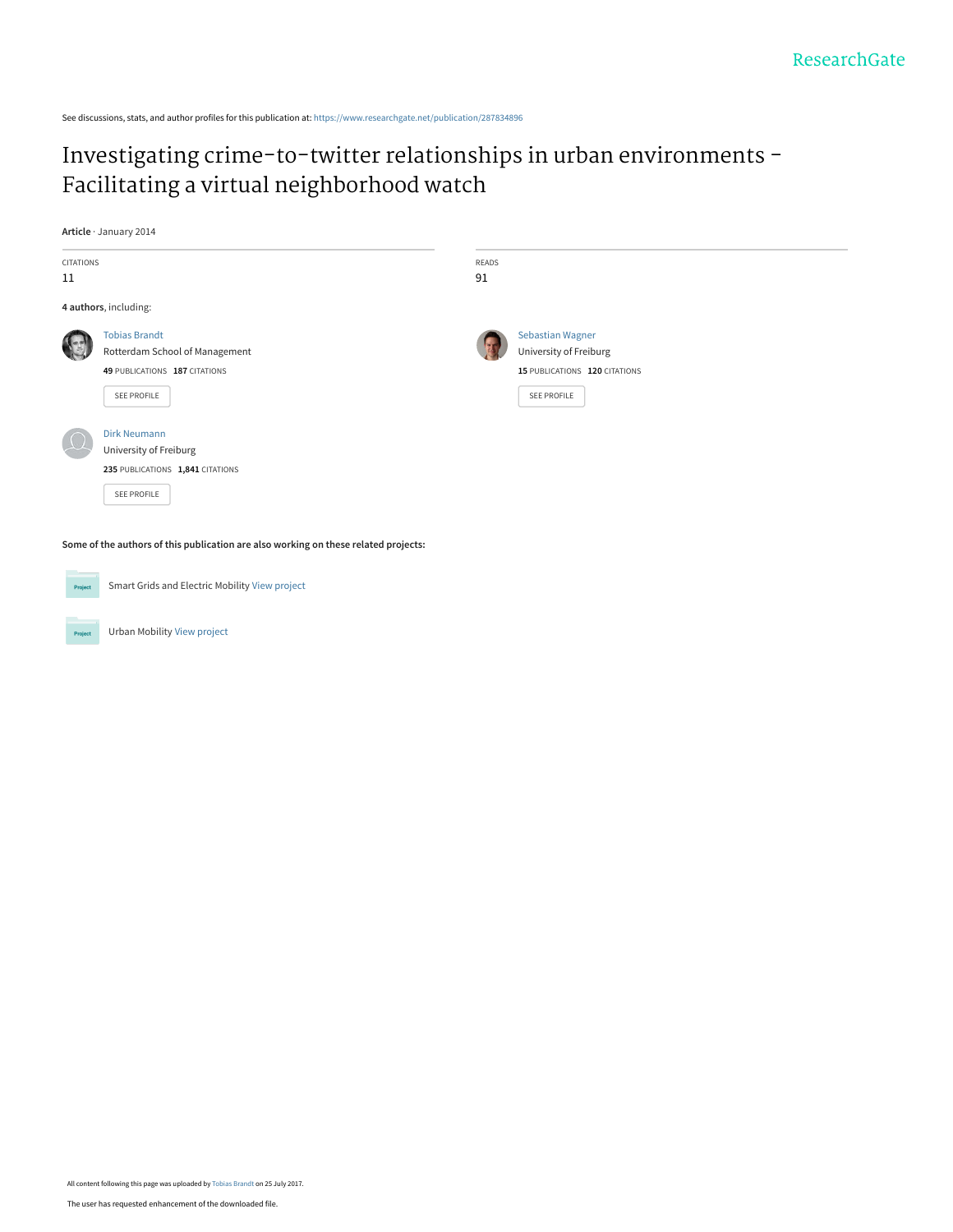See discussions, stats, and author profiles for this publication at: [https://www.researchgate.net/publication/287834896](https://www.researchgate.net/publication/287834896_Investigating_crime-to-twitter_relationships_in_urban_environments_-_Facilitating_a_virtual_neighborhood_watch?enrichId=rgreq-2f4c880b8fbc44252ffe1e8a12f169a8-XXX&enrichSource=Y292ZXJQYWdlOzI4NzgzNDg5NjtBUzo1MjAwOTgwNjM2MjIxNDRAMTUwMTAxMjQ0OTIwOA%3D%3D&el=1_x_2&_esc=publicationCoverPdf)

## [Investigating crime-to-twitter relationships in urban environments -](https://www.researchgate.net/publication/287834896_Investigating_crime-to-twitter_relationships_in_urban_environments_-_Facilitating_a_virtual_neighborhood_watch?enrichId=rgreq-2f4c880b8fbc44252ffe1e8a12f169a8-XXX&enrichSource=Y292ZXJQYWdlOzI4NzgzNDg5NjtBUzo1MjAwOTgwNjM2MjIxNDRAMTUwMTAxMjQ0OTIwOA%3D%3D&el=1_x_3&_esc=publicationCoverPdf) Facilitating a virtual neighborhood watch

**Article** · January 2014

| CITATIONS<br>11 |                                                                                                        | READS<br>91 |                                                                                                   |
|-----------------|--------------------------------------------------------------------------------------------------------|-------------|---------------------------------------------------------------------------------------------------|
|                 | 4 authors, including:                                                                                  |             |                                                                                                   |
|                 | <b>Tobias Brandt</b><br>Rotterdam School of Management<br>49 PUBLICATIONS 187 CITATIONS<br>SEE PROFILE |             | <b>Sebastian Wagner</b><br>University of Freiburg<br>15 PUBLICATIONS 120 CITATIONS<br>SEE PROFILE |
|                 | <b>Dirk Neumann</b><br>University of Freiburg<br>235 PUBLICATIONS 1,841 CITATIONS<br>SEE PROFILE       |             |                                                                                                   |

**Some of the authors of this publication are also working on these related projects:**



Project

Smart Grids and Electric Mobility [View project](https://www.researchgate.net/project/Smart-Grids-and-Electric-Mobility?enrichId=rgreq-2f4c880b8fbc44252ffe1e8a12f169a8-XXX&enrichSource=Y292ZXJQYWdlOzI4NzgzNDg5NjtBUzo1MjAwOTgwNjM2MjIxNDRAMTUwMTAxMjQ0OTIwOA%3D%3D&el=1_x_9&_esc=publicationCoverPdf)

Urban Mobility [View project](https://www.researchgate.net/project/Urban-Mobility-4?enrichId=rgreq-2f4c880b8fbc44252ffe1e8a12f169a8-XXX&enrichSource=Y292ZXJQYWdlOzI4NzgzNDg5NjtBUzo1MjAwOTgwNjM2MjIxNDRAMTUwMTAxMjQ0OTIwOA%3D%3D&el=1_x_9&_esc=publicationCoverPdf)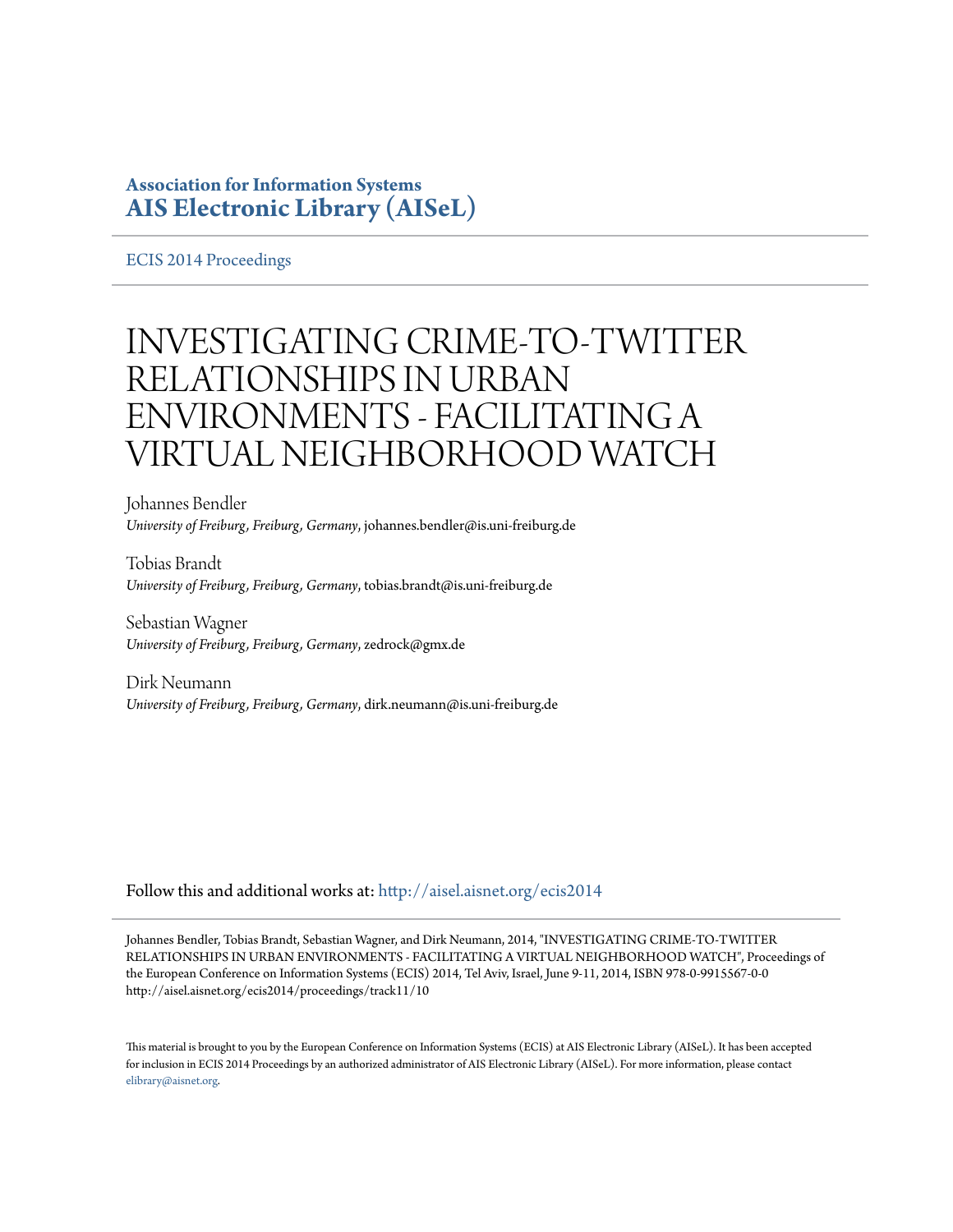## **Association for Information Systems [AIS Electronic Library \(AISeL\)](http://aisel.aisnet.org?utm_source=aisel.aisnet.org%2Fecis2014%2Fproceedings%2Ftrack11%2F10&utm_medium=PDF&utm_campaign=PDFCoverPages)**

[ECIS 2014 Proceedings](http://aisel.aisnet.org/ecis2014?utm_source=aisel.aisnet.org%2Fecis2014%2Fproceedings%2Ftrack11%2F10&utm_medium=PDF&utm_campaign=PDFCoverPages)

# INVESTIGATING CRIME-TO-TWITTER RELATIONSHIPS IN URBAN ENVIRONMENTS - FACILITATING A VIRTUAL NEIGHBORHOOD WATCH

Johannes Bendler *University of Freiburg, Freiburg, Germany*, johannes.bendler@is.uni-freiburg.de

Tobias Brandt *University of Freiburg, Freiburg, Germany*, tobias.brandt@is.uni-freiburg.de

Sebastian Wagner *University of Freiburg, Freiburg, Germany*, zedrock@gmx.de

Dirk Neumann *University of Freiburg, Freiburg, Germany*, dirk.neumann@is.uni-freiburg.de

Follow this and additional works at: [http://aisel.aisnet.org/ecis2014](http://aisel.aisnet.org/ecis2014?utm_source=aisel.aisnet.org%2Fecis2014%2Fproceedings%2Ftrack11%2F10&utm_medium=PDF&utm_campaign=PDFCoverPages)

Johannes Bendler, Tobias Brandt, Sebastian Wagner, and Dirk Neumann, 2014, "INVESTIGATING CRIME-TO-TWITTER RELATIONSHIPS IN URBAN ENVIRONMENTS - FACILITATING A VIRTUAL NEIGHBORHOOD WATCH", Proceedings of the European Conference on Information Systems (ECIS) 2014, Tel Aviv, Israel, June 9-11, 2014, ISBN 978-0-9915567-0-0 http://aisel.aisnet.org/ecis2014/proceedings/track11/10

This material is brought to you by the European Conference on Information Systems (ECIS) at AIS Electronic Library (AISeL). It has been accepted for inclusion in ECIS 2014 Proceedings by an authorized administrator of AIS Electronic Library (AISeL). For more information, please contact [elibrary@aisnet.org.](mailto:elibrary@aisnet.org%3E)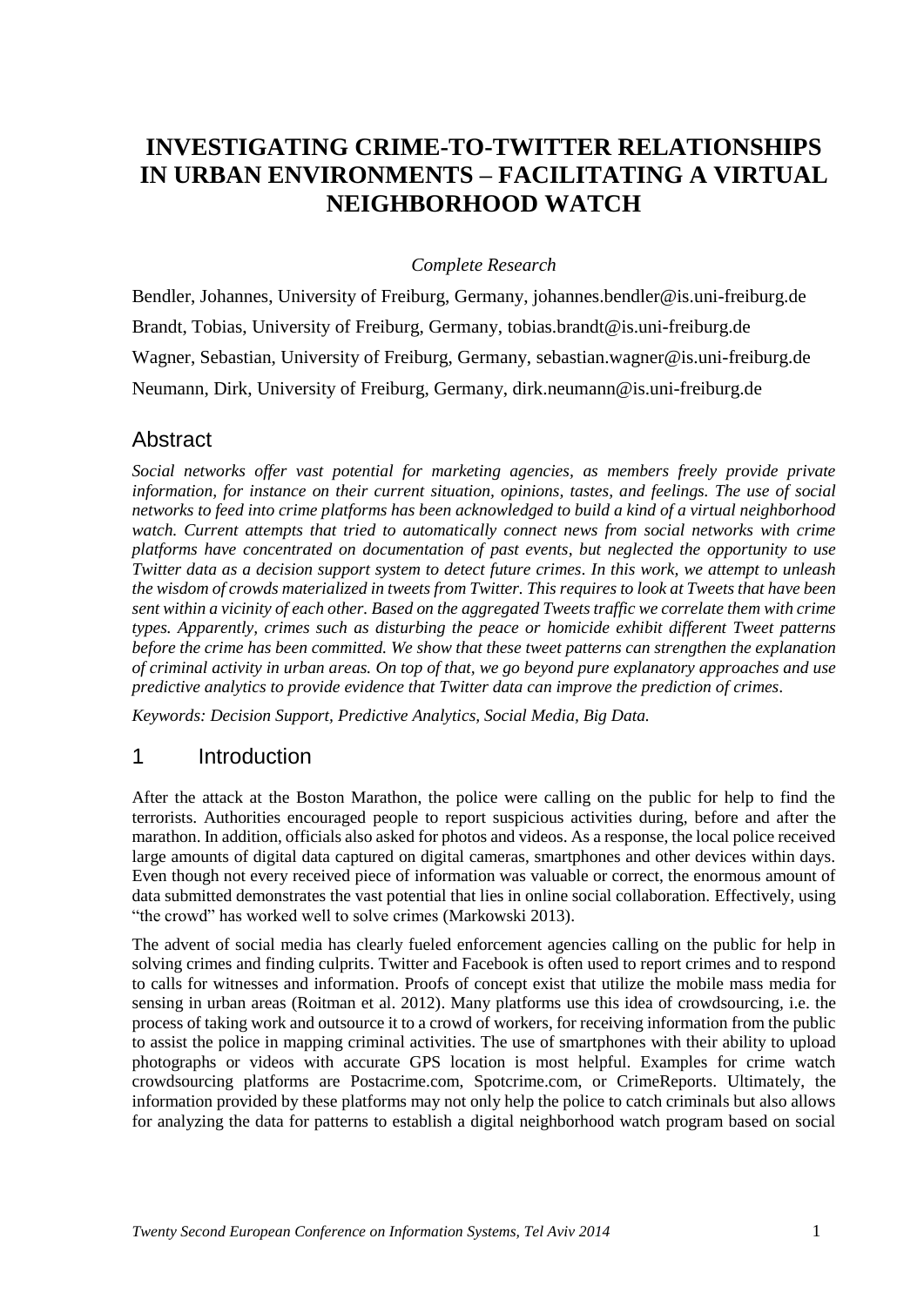# **INVESTIGATING CRIME-TO-TWITTER RELATIONSHIPS IN URBAN ENVIRONMENTS – FACILITATING A VIRTUAL NEIGHBORHOOD WATCH**

#### *Complete Research*

Bendler, Johannes, University of Freiburg, Germany, johannes.bendler@is.uni-freiburg.de Brandt, Tobias, University of Freiburg, Germany, tobias.brandt@is.uni-freiburg.de Wagner, Sebastian, University of Freiburg, Germany, sebastian.wagner@is.uni-freiburg.de Neumann, Dirk, University of Freiburg, Germany, dirk.neumann@is.uni-freiburg.de

#### **Abstract**

*Social networks offer vast potential for marketing agencies, as members freely provide private information, for instance on their current situation, opinions, tastes, and feelings. The use of social networks to feed into crime platforms has been acknowledged to build a kind of a virtual neighborhood*  watch. Current attempts that tried to automatically connect news from social networks with crime *platforms have concentrated on documentation of past events, but neglected the opportunity to use Twitter data as a decision support system to detect future crimes. In this work, we attempt to unleash the wisdom of crowds materialized in tweets from Twitter. This requires to look at Tweets that have been sent within a vicinity of each other. Based on the aggregated Tweets traffic we correlate them with crime types. Apparently, crimes such as disturbing the peace or homicide exhibit different Tweet patterns before the crime has been committed. We show that these tweet patterns can strengthen the explanation of criminal activity in urban areas. On top of that, we go beyond pure explanatory approaches and use predictive analytics to provide evidence that Twitter data can improve the prediction of crimes.*

*Keywords: Decision Support, Predictive Analytics, Social Media, Big Data.*

#### 1 Introduction

After the attack at the Boston Marathon, the police were calling on the public for help to find the terrorists. Authorities encouraged people to report suspicious activities during, before and after the marathon. In addition, officials also asked for photos and videos. As a response, the local police received large amounts of digital data captured on digital cameras, smartphones and other devices within days. Even though not every received piece of information was valuable or correct, the enormous amount of data submitted demonstrates the vast potential that lies in online social collaboration. Effectively, using "the crowd" has worked well to solve crimes (Markowski 2013).

The advent of social media has clearly fueled enforcement agencies calling on the public for help in solving crimes and finding culprits. Twitter and Facebook is often used to report crimes and to respond to calls for witnesses and information. Proofs of concept exist that utilize the mobile mass media for sensing in urban areas (Roitman et al. 2012). Many platforms use this idea of crowdsourcing, i.e. the process of taking work and outsource it to a crowd of workers, for receiving information from the public to assist the police in mapping criminal activities. The use of smartphones with their ability to upload photographs or videos with accurate GPS location is most helpful. Examples for crime watch crowdsourcing platforms are Postacrime.com, Spotcrime.com, or CrimeReports. Ultimately, the information provided by these platforms may not only help the police to catch criminals but also allows for analyzing the data for patterns to establish a digital neighborhood watch program based on social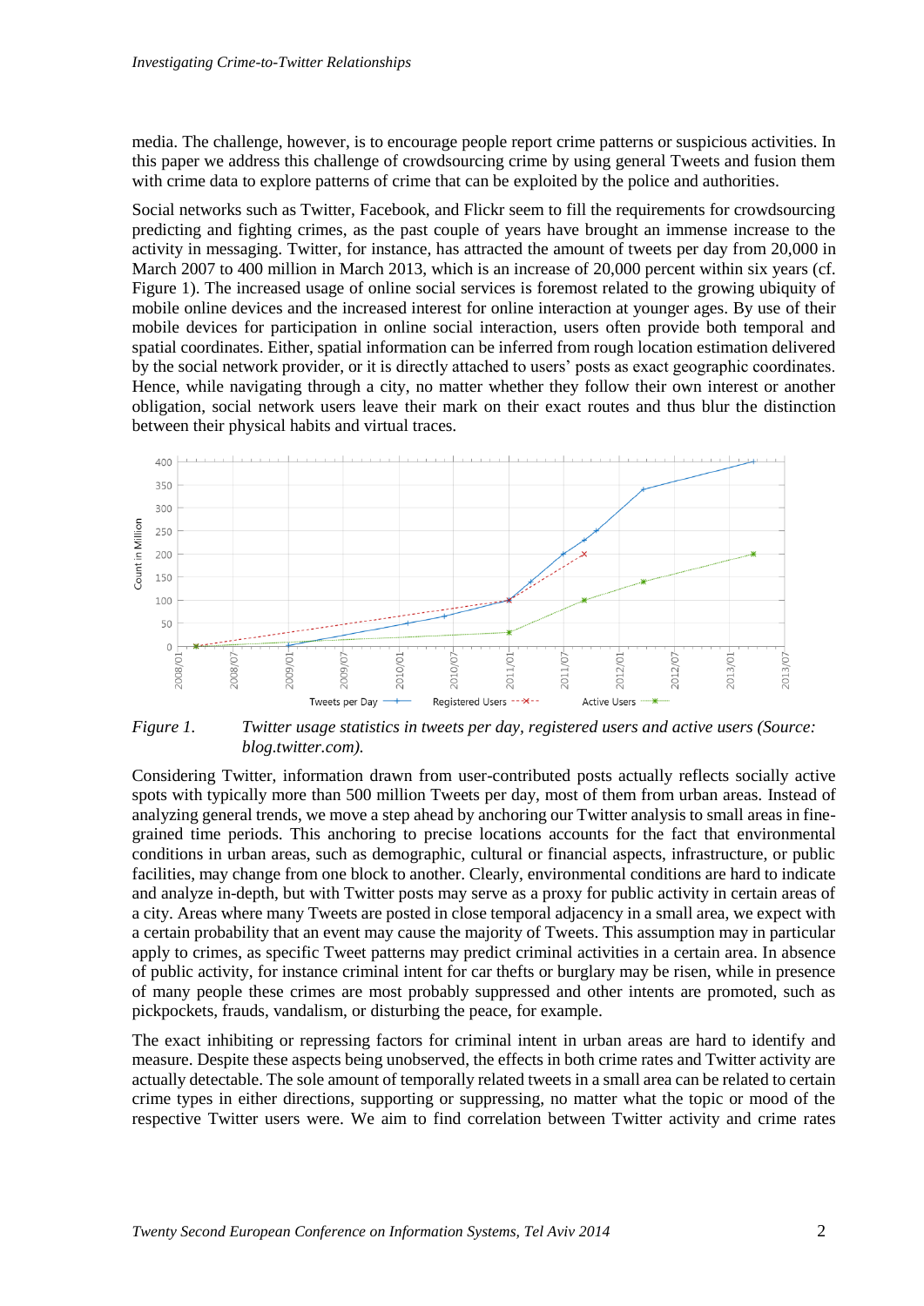media. The challenge, however, is to encourage people report crime patterns or suspicious activities. In this paper we address this challenge of crowdsourcing crime by using general Tweets and fusion them with crime data to explore patterns of crime that can be exploited by the police and authorities.

Social networks such as Twitter, Facebook, and Flickr seem to fill the requirements for crowdsourcing predicting and fighting crimes, as the past couple of years have brought an immense increase to the activity in messaging. Twitter, for instance, has attracted the amount of tweets per day from 20,000 in March 2007 to 400 million in March 2013, which is an increase of 20,000 percent within six years (cf. [Figure 1\)](#page-3-0). The increased usage of online social services is foremost related to the growing ubiquity of mobile online devices and the increased interest for online interaction at younger ages. By use of their mobile devices for participation in online social interaction, users often provide both temporal and spatial coordinates. Either, spatial information can be inferred from rough location estimation delivered by the social network provider, or it is directly attached to users' posts as exact geographic coordinates. Hence, while navigating through a city, no matter whether they follow their own interest or another obligation, social network users leave their mark on their exact routes and thus blur the distinction between their physical habits and virtual traces.



<span id="page-3-0"></span>*Figure 1. Twitter usage statistics in tweets per day, registered users and active users (Source: blog.twitter.com).*

Considering Twitter, information drawn from user-contributed posts actually reflects socially active spots with typically more than 500 million Tweets per day, most of them from urban areas. Instead of analyzing general trends, we move a step ahead by anchoring our Twitter analysis to small areas in finegrained time periods. This anchoring to precise locations accounts for the fact that environmental conditions in urban areas, such as demographic, cultural or financial aspects, infrastructure, or public facilities, may change from one block to another. Clearly, environmental conditions are hard to indicate and analyze in-depth, but with Twitter posts may serve as a proxy for public activity in certain areas of a city. Areas where many Tweets are posted in close temporal adjacency in a small area, we expect with a certain probability that an event may cause the majority of Tweets. This assumption may in particular apply to crimes, as specific Tweet patterns may predict criminal activities in a certain area. In absence of public activity, for instance criminal intent for car thefts or burglary may be risen, while in presence of many people these crimes are most probably suppressed and other intents are promoted, such as pickpockets, frauds, vandalism, or disturbing the peace, for example.

The exact inhibiting or repressing factors for criminal intent in urban areas are hard to identify and measure. Despite these aspects being unobserved, the effects in both crime rates and Twitter activity are actually detectable. The sole amount of temporally related tweets in a small area can be related to certain crime types in either directions, supporting or suppressing, no matter what the topic or mood of the respective Twitter users were. We aim to find correlation between Twitter activity and crime rates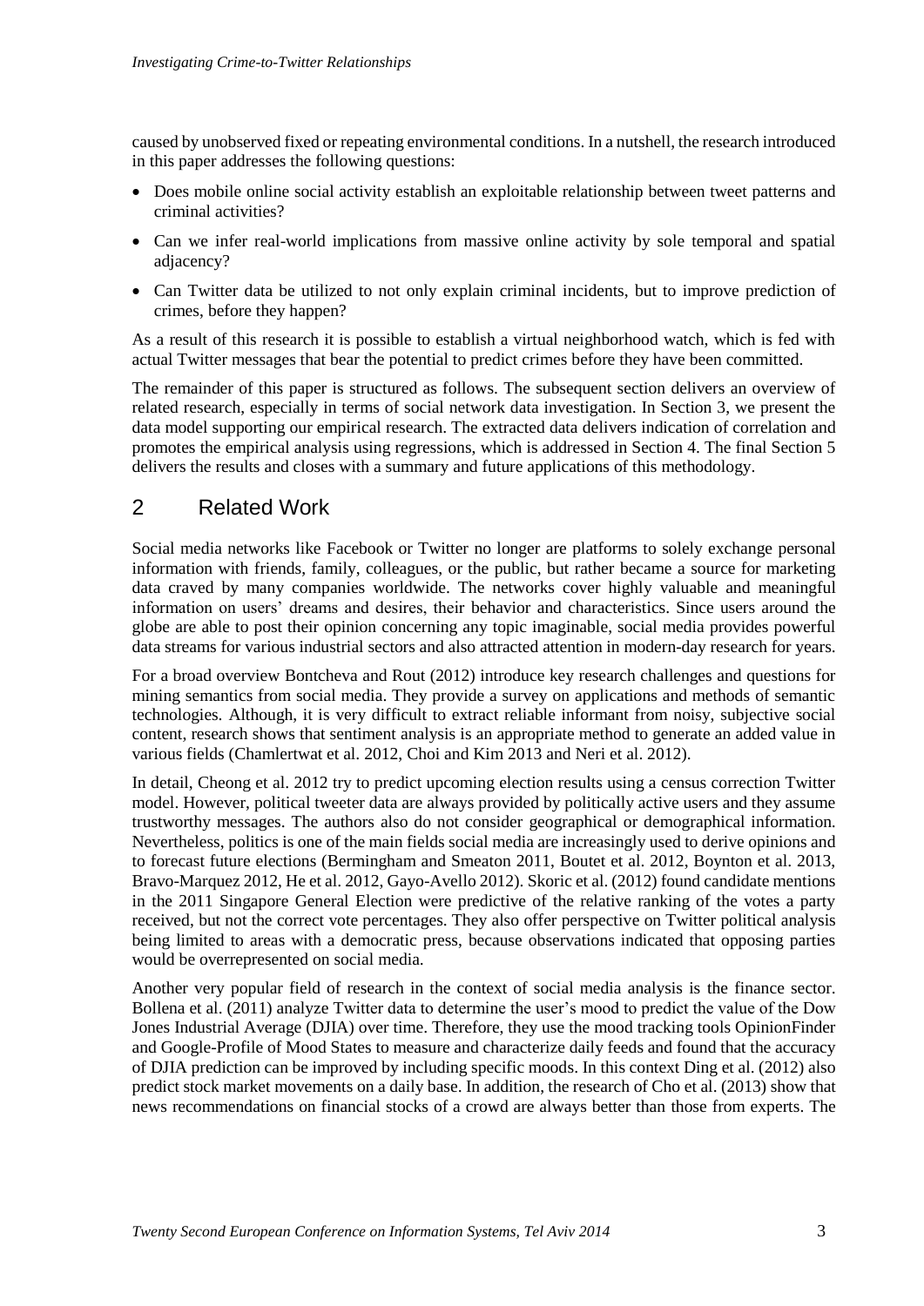caused by unobserved fixed or repeating environmental conditions. In a nutshell, the research introduced in this paper addresses the following questions:

- Does mobile online social activity establish an exploitable relationship between tweet patterns and criminal activities?
- Can we infer real-world implications from massive online activity by sole temporal and spatial adjacency?
- Can Twitter data be utilized to not only explain criminal incidents, but to improve prediction of crimes, before they happen?

As a result of this research it is possible to establish a virtual neighborhood watch, which is fed with actual Twitter messages that bear the potential to predict crimes before they have been committed.

The remainder of this paper is structured as follows. The subsequent section delivers an overview of related research, especially in terms of social network data investigation. In Section 3, we present the data model supporting our empirical research. The extracted data delivers indication of correlation and promotes the empirical analysis using regressions, which is addressed in Section 4. The final Section 5 delivers the results and closes with a summary and future applications of this methodology.

## 2 Related Work

Social media networks like Facebook or Twitter no longer are platforms to solely exchange personal information with friends, family, colleagues, or the public, but rather became a source for marketing data craved by many companies worldwide. The networks cover highly valuable and meaningful information on users' dreams and desires, their behavior and characteristics. Since users around the globe are able to post their opinion concerning any topic imaginable, social media provides powerful data streams for various industrial sectors and also attracted attention in modern-day research for years.

For a broad overview Bontcheva and Rout (2012) introduce key research challenges and questions for mining semantics from social media. They provide a survey on applications and methods of semantic technologies. Although, it is very difficult to extract reliable informant from noisy, subjective social content, research shows that sentiment analysis is an appropriate method to generate an added value in various fields (Chamlertwat et al. 2012, Choi and Kim 2013 and Neri et al. 2012).

In detail, Cheong et al. 2012 try to predict upcoming election results using a census correction Twitter model. However, political tweeter data are always provided by politically active users and they assume trustworthy messages. The authors also do not consider geographical or demographical information. Nevertheless, politics is one of the main fields social media are increasingly used to derive opinions and to forecast future elections (Bermingham and Smeaton 2011, Boutet et al. 2012, Boynton et al. 2013, Bravo-Marquez 2012, He et al. 2012, Gayo-Avello 2012). Skoric et al. (2012) found candidate mentions in the 2011 Singapore General Election were predictive of the relative ranking of the votes a party received, but not the correct vote percentages. They also offer perspective on Twitter political analysis being limited to areas with a democratic press, because observations indicated that opposing parties would be overrepresented on social media.

Another very popular field of research in the context of social media analysis is the finance sector. Bollena et al. (2011) analyze Twitter data to determine the user's mood to predict the value of the Dow Jones Industrial Average (DJIA) over time. Therefore, they use the mood tracking tools OpinionFinder and Google-Profile of Mood States to measure and characterize daily feeds and found that the accuracy of DJIA prediction can be improved by including specific moods. In this context Ding et al. (2012) also predict stock market movements on a daily base. In addition, the research of Cho et al. (2013) show that news recommendations on financial stocks of a crowd are always better than those from experts. The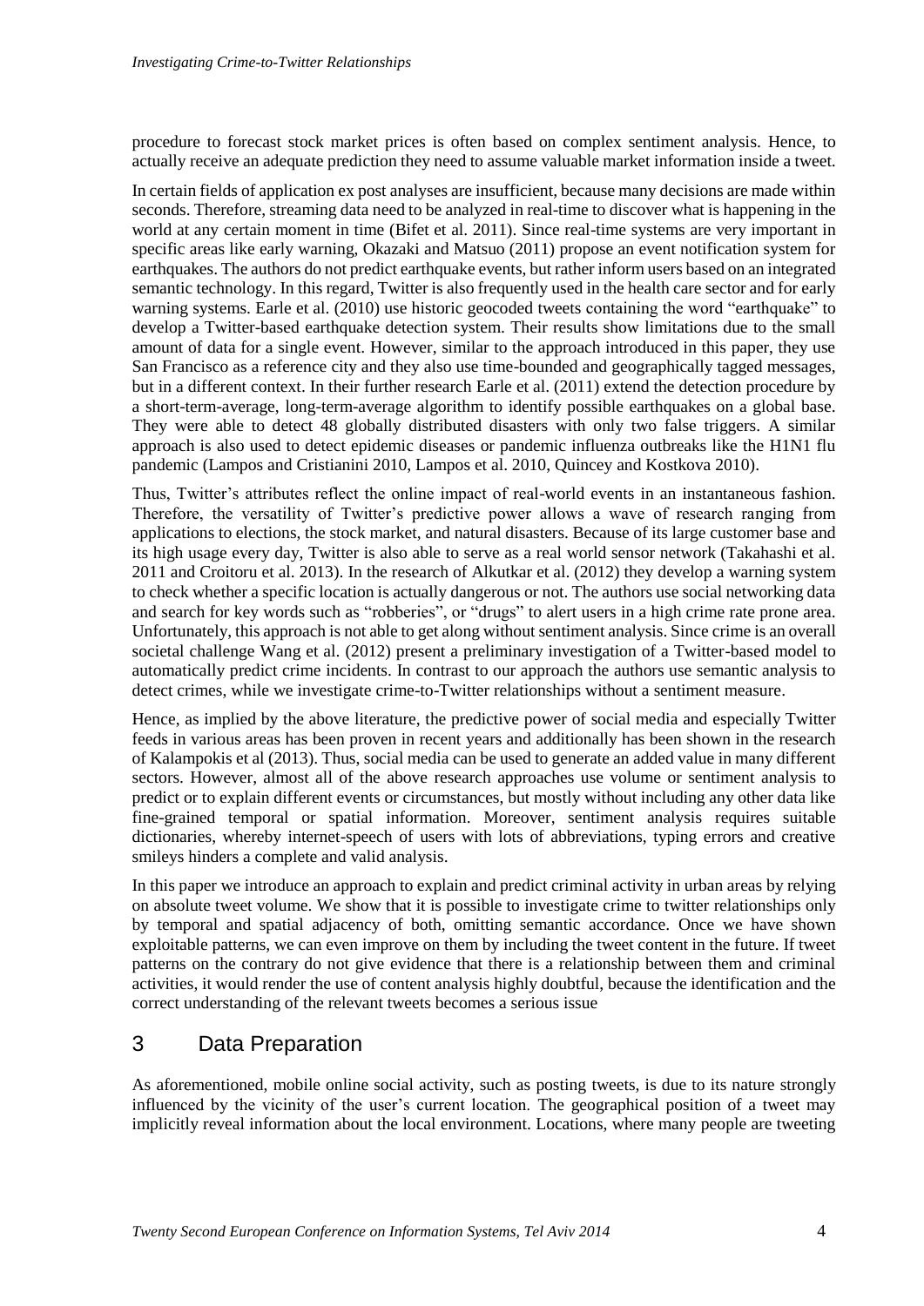procedure to forecast stock market prices is often based on complex sentiment analysis. Hence, to actually receive an adequate prediction they need to assume valuable market information inside a tweet.

In certain fields of application ex post analyses are insufficient, because many decisions are made within seconds. Therefore, streaming data need to be analyzed in real-time to discover what is happening in the world at any certain moment in time (Bifet et al. 2011). Since real-time systems are very important in specific areas like early warning, Okazaki and Matsuo (2011) propose an event notification system for earthquakes. The authors do not predict earthquake events, but rather inform users based on an integrated semantic technology. In this regard, Twitter is also frequently used in the health care sector and for early warning systems. Earle et al. (2010) use historic geocoded tweets containing the word "earthquake" to develop a Twitter-based earthquake detection system. Their results show limitations due to the small amount of data for a single event. However, similar to the approach introduced in this paper, they use San Francisco as a reference city and they also use time-bounded and geographically tagged messages, but in a different context. In their further research Earle et al. (2011) extend the detection procedure by a short-term-average, long-term-average algorithm to identify possible earthquakes on a global base. They were able to detect 48 globally distributed disasters with only two false triggers. A similar approach is also used to detect epidemic diseases or pandemic influenza outbreaks like the H1N1 flu pandemic (Lampos and Cristianini 2010, Lampos et al. 2010, Quincey and Kostkova 2010).

Thus, Twitter's attributes reflect the online impact of real-world events in an instantaneous fashion. Therefore, the versatility of Twitter's predictive power allows a wave of research ranging from applications to elections, the stock market, and natural disasters. Because of its large customer base and its high usage every day, Twitter is also able to serve as a real world sensor network (Takahashi et al. 2011 and Croitoru et al. 2013). In the research of Alkutkar et al. (2012) they develop a warning system to check whether a specific location is actually dangerous or not. The authors use social networking data and search for key words such as "robberies", or "drugs" to alert users in a high crime rate prone area. Unfortunately, this approach is not able to get along without sentiment analysis. Since crime is an overall societal challenge Wang et al. (2012) present a preliminary investigation of a Twitter-based model to automatically predict crime incidents. In contrast to our approach the authors use semantic analysis to detect crimes, while we investigate crime-to-Twitter relationships without a sentiment measure.

Hence, as implied by the above literature, the predictive power of social media and especially Twitter feeds in various areas has been proven in recent years and additionally has been shown in the research of Kalampokis et al (2013). Thus, social media can be used to generate an added value in many different sectors. However, almost all of the above research approaches use volume or sentiment analysis to predict or to explain different events or circumstances, but mostly without including any other data like fine-grained temporal or spatial information. Moreover, sentiment analysis requires suitable dictionaries, whereby internet-speech of users with lots of abbreviations, typing errors and creative smileys hinders a complete and valid analysis.

In this paper we introduce an approach to explain and predict criminal activity in urban areas by relying on absolute tweet volume. We show that it is possible to investigate crime to twitter relationships only by temporal and spatial adjacency of both, omitting semantic accordance. Once we have shown exploitable patterns, we can even improve on them by including the tweet content in the future. If tweet patterns on the contrary do not give evidence that there is a relationship between them and criminal activities, it would render the use of content analysis highly doubtful, because the identification and the correct understanding of the relevant tweets becomes a serious issue

## 3 Data Preparation

As aforementioned, mobile online social activity, such as posting tweets, is due to its nature strongly influenced by the vicinity of the user's current location. The geographical position of a tweet may implicitly reveal information about the local environment. Locations, where many people are tweeting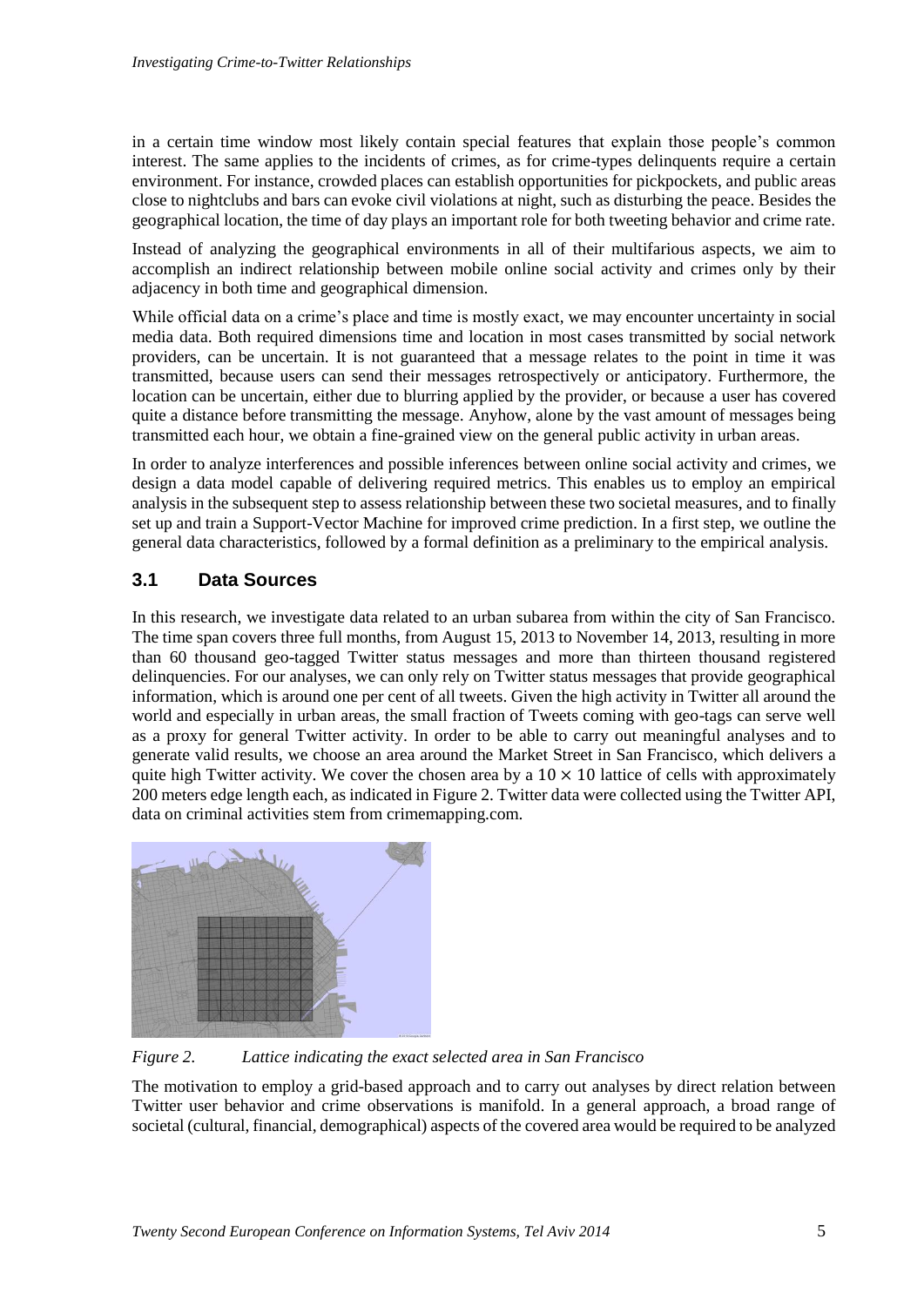in a certain time window most likely contain special features that explain those people's common interest. The same applies to the incidents of crimes, as for crime-types delinquents require a certain environment. For instance, crowded places can establish opportunities for pickpockets, and public areas close to nightclubs and bars can evoke civil violations at night, such as disturbing the peace. Besides the geographical location, the time of day plays an important role for both tweeting behavior and crime rate.

Instead of analyzing the geographical environments in all of their multifarious aspects, we aim to accomplish an indirect relationship between mobile online social activity and crimes only by their adjacency in both time and geographical dimension.

While official data on a crime's place and time is mostly exact, we may encounter uncertainty in social media data. Both required dimensions time and location in most cases transmitted by social network providers, can be uncertain. It is not guaranteed that a message relates to the point in time it was transmitted, because users can send their messages retrospectively or anticipatory. Furthermore, the location can be uncertain, either due to blurring applied by the provider, or because a user has covered quite a distance before transmitting the message. Anyhow, alone by the vast amount of messages being transmitted each hour, we obtain a fine-grained view on the general public activity in urban areas.

In order to analyze interferences and possible inferences between online social activity and crimes, we design a data model capable of delivering required metrics. This enables us to employ an empirical analysis in the subsequent step to assess relationship between these two societal measures, and to finally set up and train a Support-Vector Machine for improved crime prediction. In a first step, we outline the general data characteristics, followed by a formal definition as a preliminary to the empirical analysis.

#### **3.1 Data Sources**

In this research, we investigate data related to an urban subarea from within the city of San Francisco. The time span covers three full months, from August 15, 2013 to November 14, 2013, resulting in more than 60 thousand geo-tagged Twitter status messages and more than thirteen thousand registered delinquencies. For our analyses, we can only rely on Twitter status messages that provide geographical information, which is around one per cent of all tweets. Given the high activity in Twitter all around the world and especially in urban areas, the small fraction of Tweets coming with geo-tags can serve well as a proxy for general Twitter activity. In order to be able to carry out meaningful analyses and to generate valid results, we choose an area around the Market Street in San Francisco, which delivers a quite high Twitter activity. We cover the chosen area by a  $10 \times 10$  lattice of cells with approximately 200 meters edge length each, as indicated i[n Figure 2.](#page-6-0) Twitter data were collected using the Twitter API, data on criminal activities stem from crimemapping.com.



*Figure 2. Lattice indicating the exact selected area in San Francisco*

<span id="page-6-0"></span>The motivation to employ a grid-based approach and to carry out analyses by direct relation between Twitter user behavior and crime observations is manifold. In a general approach, a broad range of societal (cultural, financial, demographical) aspects of the covered area would be required to be analyzed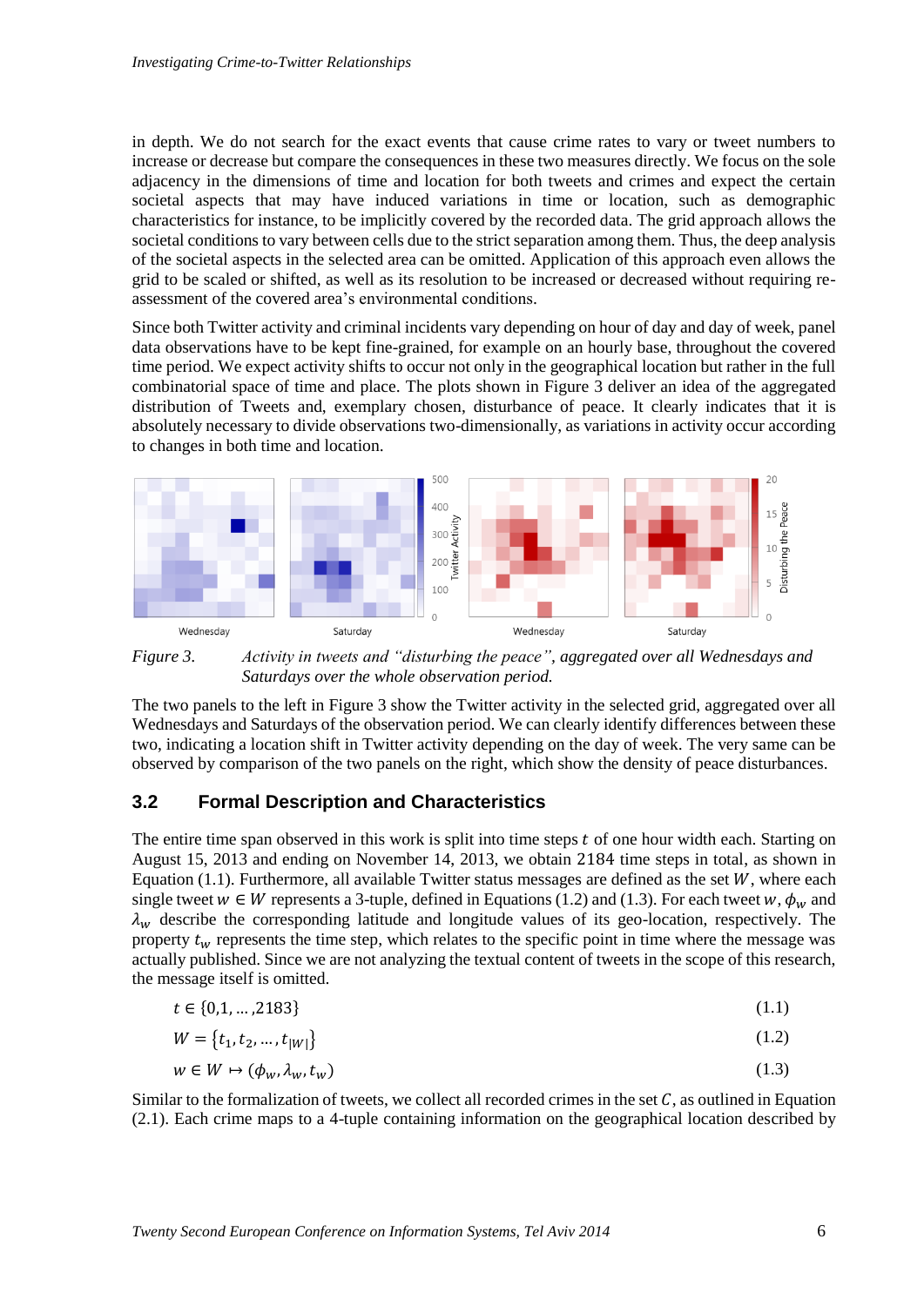in depth. We do not search for the exact events that cause crime rates to vary or tweet numbers to increase or decrease but compare the consequences in these two measures directly. We focus on the sole adjacency in the dimensions of time and location for both tweets and crimes and expect the certain societal aspects that may have induced variations in time or location, such as demographic characteristics for instance, to be implicitly covered by the recorded data. The grid approach allows the societal conditions to vary between cells due to the strict separation among them. Thus, the deep analysis of the societal aspects in the selected area can be omitted. Application of this approach even allows the grid to be scaled or shifted, as well as its resolution to be increased or decreased without requiring reassessment of the covered area's environmental conditions.

Since both Twitter activity and criminal incidents vary depending on hour of day and day of week, panel data observations have to be kept fine-grained, for example on an hourly base, throughout the covered time period. We expect activity shifts to occur not only in the geographical location but rather in the full combinatorial space of time and place. The plots shown in [Figure 3](#page-7-0) deliver an idea of the aggregated distribution of Tweets and, exemplary chosen, disturbance of peace. It clearly indicates that it is absolutely necessary to divide observations two-dimensionally, as variations in activity occur according to changes in both time and location.



<span id="page-7-0"></span>*Figure 3. Activity in tweets and "disturbing the peace", aggregated over all Wednesdays and Saturdays over the whole observation period.*

The two panels to the left in [Figure 3](#page-7-0) show the Twitter activity in the selected grid, aggregated over all Wednesdays and Saturdays of the observation period. We can clearly identify differences between these two, indicating a location shift in Twitter activity depending on the day of week. The very same can be observed by comparison of the two panels on the right, which show the density of peace disturbances.

#### **3.2 Formal Description and Characteristics**

The entire time span observed in this work is split into time steps  $t$  of one hour width each. Starting on August 15, 2013 and ending on November 14, 2013, we obtain 2184 time steps in total, as shown in Equation (1.1). Furthermore, all available Twitter status messages are defined as the set  $W$ , where each single tweet  $w \in W$  represents a 3-tuple, defined in Equations (1.2) and (1.3). For each tweet  $w, \phi_w$  and  $\lambda_w$  describe the corresponding latitude and longitude values of its geo-location, respectively. The property  $t_w$  represents the time step, which relates to the specific point in time where the message was actually published. Since we are not analyzing the textual content of tweets in the scope of this research, the message itself is omitted.

$$
t \in \{0, 1, \dots, 2183\} \tag{1.1}
$$

$$
W = \{t_1, t_2, \dots, t_{|W|}\}\tag{1.2}
$$

$$
w \in W \mapsto (\phi_w, \lambda_w, t_w) \tag{1.3}
$$

Similar to the formalization of tweets, we collect all recorded crimes in the set  $C$ , as outlined in Equation (2.1). Each crime maps to a 4-tuple containing information on the geographical location described by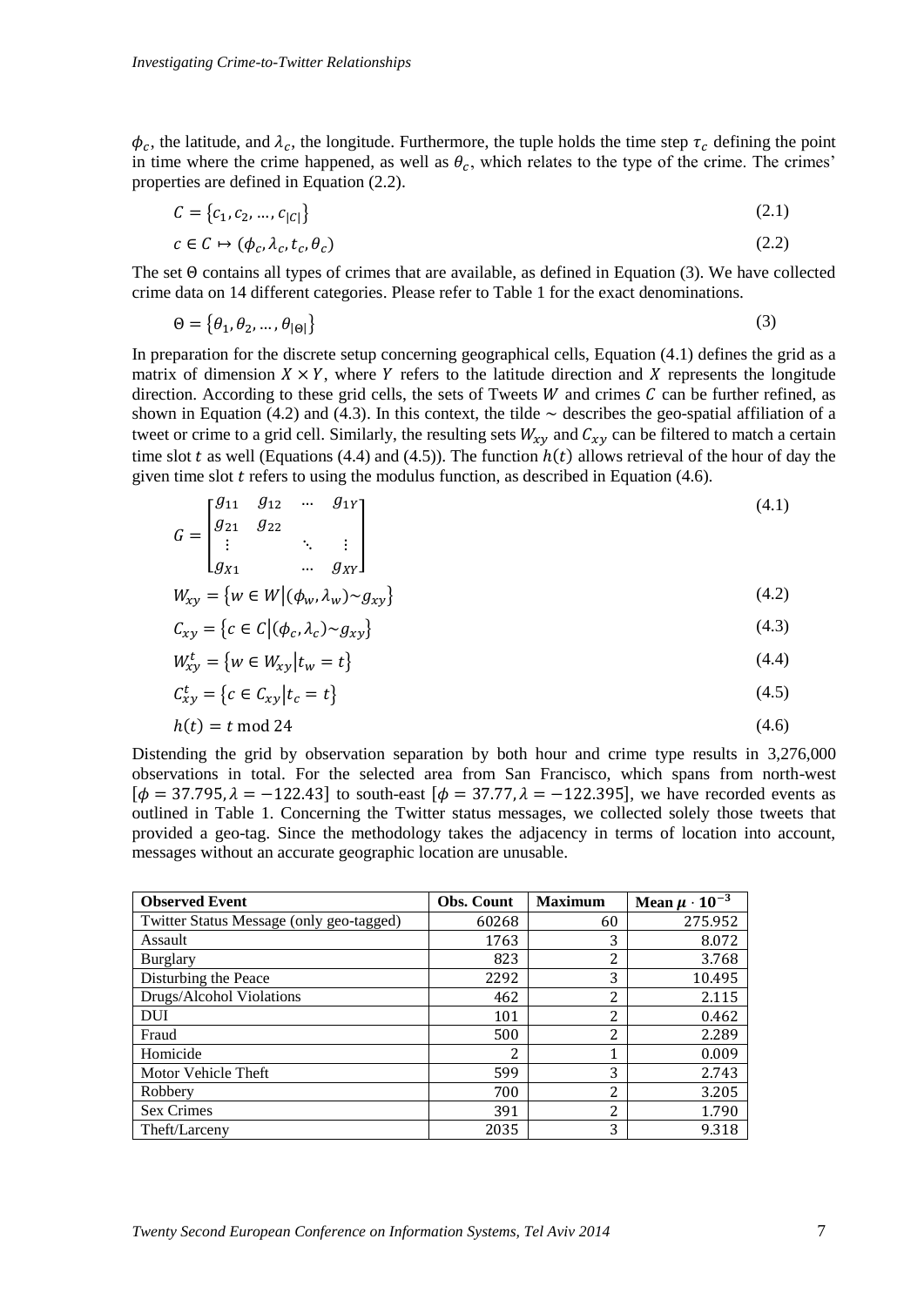$\phi_c$ , the latitude, and  $\lambda_c$ , the longitude. Furthermore, the tuple holds the time step  $\tau_c$  defining the point in time where the crime happened, as well as  $\theta_c$ , which relates to the type of the crime. The crimes' properties are defined in Equation (2.2).

$$
C = \{c_1, c_2, \dots, c_{|C|}\}\tag{2.1}
$$

$$
c \in C \mapsto (\phi_c, \lambda_c, t_c, \theta_c) \tag{2.2}
$$

The set Θ contains all types of crimes that are available, as defined in Equation (3). We have collected crime data on 14 different categories. Please refer to [Table 1](#page-9-0) for the exact denominations.

$$
\Theta = \{ \theta_1, \theta_2, \dots, \theta_{|\Theta|} \}
$$
 (3)

In preparation for the discrete setup concerning geographical cells, Equation (4.1) defines the grid as a matrix of dimension  $X \times Y$ , where Y refers to the latitude direction and X represents the longitude direction. According to these grid cells, the sets of Tweets  $W$  and crimes  $C$  can be further refined, as shown in Equation (4.2) and (4.3). In this context, the tilde  $\sim$  describes the geo-spatial affiliation of a tweet or crime to a grid cell. Similarly, the resulting sets  $W_{xy}$  and  $C_{xy}$  can be filtered to match a certain time slot t as well (Equations (4.4) and (4.5)). The function  $h(t)$  allows retrieval of the hour of day the given time slot  $t$  refers to using the modulus function, as described in Equation (4.6).

$$
G = \begin{bmatrix} g_{11} & g_{12} & \dots & g_{1Y} \\ g_{21} & g_{22} & & \\ \vdots & & \ddots & \vdots \\ g_{X1} & & \dots & g_{XY} \end{bmatrix}
$$
 (4.1)

$$
W_{xy} = \{ w \in W \mid (\phi_w, \lambda_w) \sim g_{xy} \} \tag{4.2}
$$

$$
C_{xy} = \{c \in C \mid (\phi_c, \lambda_c) \sim g_{xy}\}\tag{4.3}
$$

$$
W_{xy}^t = \{ w \in W_{xy} | t_w = t \}
$$
\n(4.4)

$$
C_{xy}^t = \{c \in C_{xy} | t_c = t\}
$$
\n
$$
(4.5)
$$

$$
h(t) = t \mod 24 \tag{4.6}
$$

Distending the grid by observation separation by both hour and crime type results in 3,276,000 observations in total. For the selected area from San Francisco, which spans from north-west  $[\phi = 37.795, \lambda = -122.43]$  to south-east  $[\phi = 37.77, \lambda = -122.395]$ , we have recorded events as outlined in [Table 1.](#page-9-0) Concerning the Twitter status messages, we collected solely those tweets that provided a geo-tag. Since the methodology takes the adjacency in terms of location into account, messages without an accurate geographic location are unusable.

| <b>Observed Event</b>                    | <b>Obs. Count</b> | <b>Maximum</b> | Mean $\mu \cdot 10^{-3}$ |  |
|------------------------------------------|-------------------|----------------|--------------------------|--|
| Twitter Status Message (only geo-tagged) | 60268             | 60             | 275.952                  |  |
| Assault                                  | 1763              | 3              | 8.072                    |  |
| <b>Burglary</b>                          | 823               | 2              | 3.768                    |  |
| Disturbing the Peace                     | 2292              | 3              | 10.495                   |  |
| Drugs/Alcohol Violations                 | 462               | 2              | 2.115                    |  |
| <b>DUI</b>                               | 101               | $\overline{2}$ | 0.462                    |  |
| Fraud                                    | 500               | 2              | 2.289                    |  |
| Homicide                                 | 2                 | 1              | 0.009                    |  |
| Motor Vehicle Theft                      | 599               | 3              | 2.743                    |  |
| Robbery                                  | 700               | 2              | 3.205                    |  |
| <b>Sex Crimes</b>                        | 391               | $\overline{2}$ | 1.790                    |  |
| Theft/Larceny                            | 2035              | 3              | 9.318                    |  |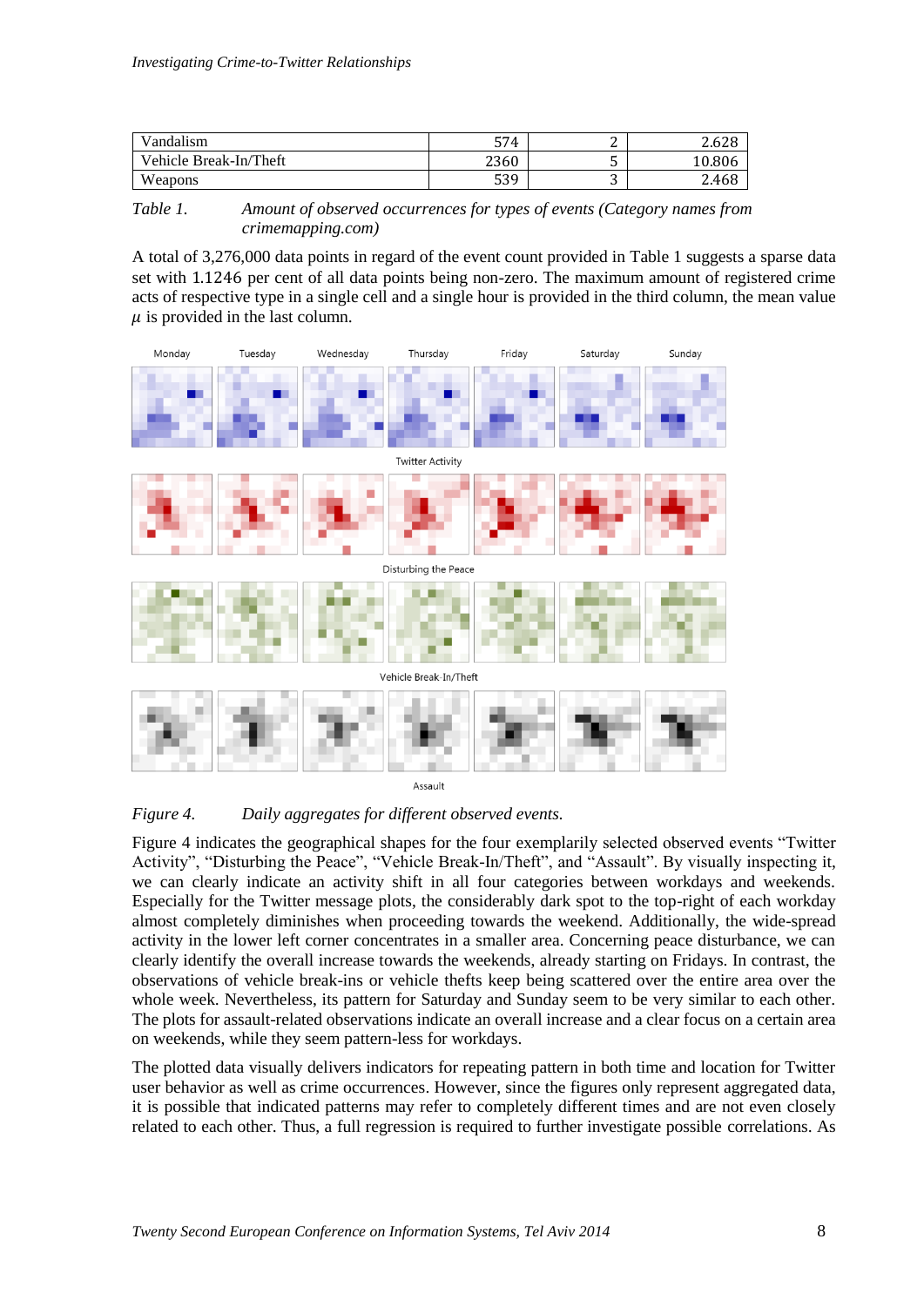| Vandalism              | 574  | ∽<br>∸ | $\sim$<br>∠.b∠ŏ |
|------------------------|------|--------|-----------------|
| Vehicle Break-In/Theft | 2360 | ັ      | 0.806           |
| Weapons                | 539  | ັ      | 2.468           |

<span id="page-9-0"></span>*Table 1. Amount of observed occurrences for types of events (Category names from crimemapping.com)*

A total of 3,276,000 data points in regard of the event count provided in [Table 1](#page-9-0) suggests a sparse data set with 1.1246 per cent of all data points being non-zero. The maximum amount of registered crime acts of respective type in a single cell and a single hour is provided in the third column, the mean value  $\mu$  is provided in the last column.



<span id="page-9-1"></span>*Figure 4. Daily aggregates for different observed events.*

[Figure 4](#page-9-1) indicates the geographical shapes for the four exemplarily selected observed events "Twitter Activity", "Disturbing the Peace", "Vehicle Break-In/Theft", and "Assault". By visually inspecting it, we can clearly indicate an activity shift in all four categories between workdays and weekends. Especially for the Twitter message plots, the considerably dark spot to the top-right of each workday almost completely diminishes when proceeding towards the weekend. Additionally, the wide-spread activity in the lower left corner concentrates in a smaller area. Concerning peace disturbance, we can clearly identify the overall increase towards the weekends, already starting on Fridays. In contrast, the observations of vehicle break-ins or vehicle thefts keep being scattered over the entire area over the whole week. Nevertheless, its pattern for Saturday and Sunday seem to be very similar to each other. The plots for assault-related observations indicate an overall increase and a clear focus on a certain area on weekends, while they seem pattern-less for workdays.

The plotted data visually delivers indicators for repeating pattern in both time and location for Twitter user behavior as well as crime occurrences. However, since the figures only represent aggregated data, it is possible that indicated patterns may refer to completely different times and are not even closely related to each other. Thus, a full regression is required to further investigate possible correlations. As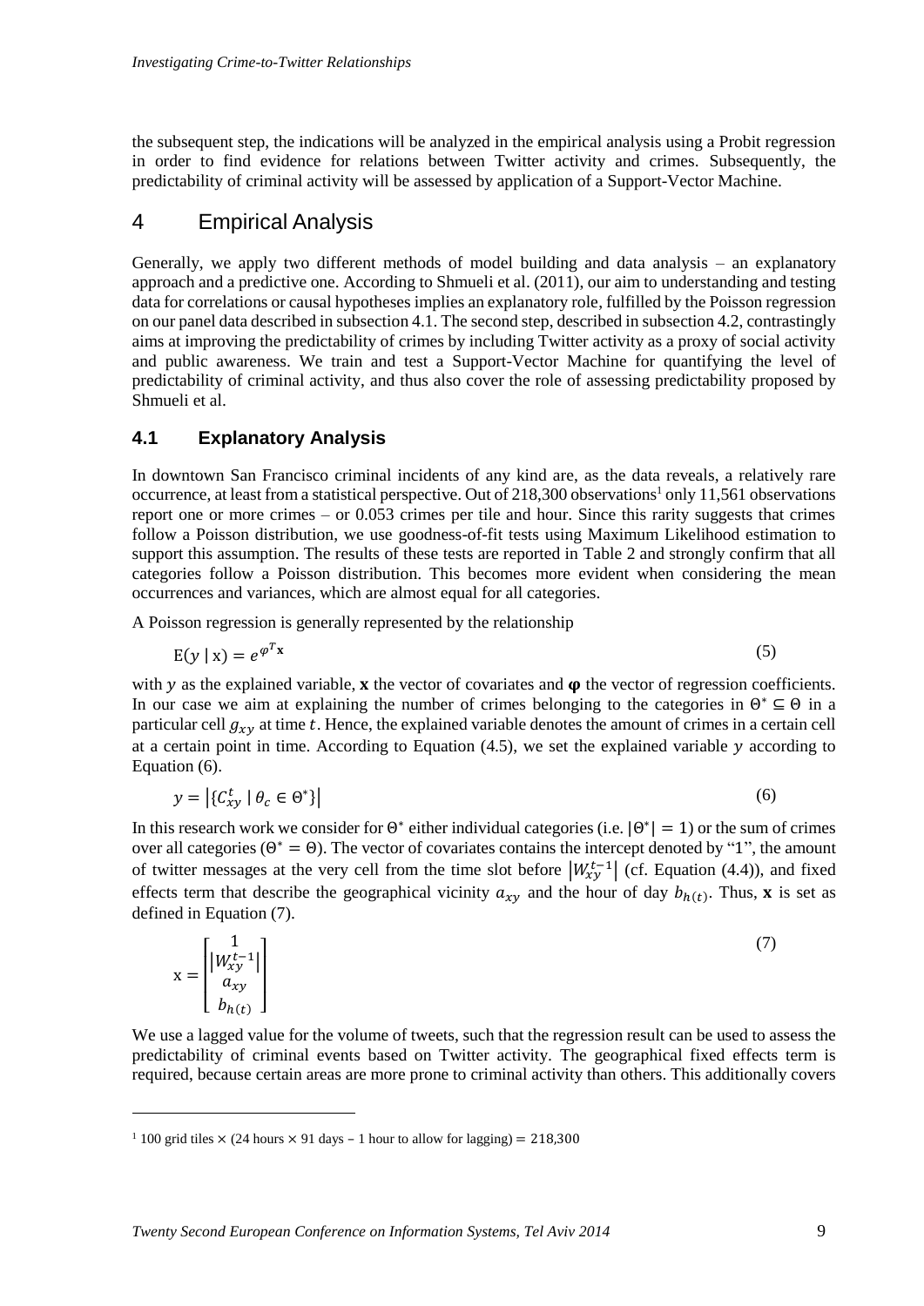the subsequent step, the indications will be analyzed in the empirical analysis using a Probit regression in order to find evidence for relations between Twitter activity and crimes. Subsequently, the predictability of criminal activity will be assessed by application of a Support-Vector Machine.

## 4 Empirical Analysis

Generally, we apply two different methods of model building and data analysis – an explanatory approach and a predictive one. According to Shmueli et al. (2011), our aim to understanding and testing data for correlations or causal hypotheses implies an explanatory role, fulfilled by the Poisson regression on our panel data described in subsection 4.1. The second step, described in subsection 4.2, contrastingly aims at improving the predictability of crimes by including Twitter activity as a proxy of social activity and public awareness. We train and test a Support-Vector Machine for quantifying the level of predictability of criminal activity, and thus also cover the role of assessing predictability proposed by Shmueli et al.

#### **4.1 Explanatory Analysis**

In downtown San Francisco criminal incidents of any kind are, as the data reveals, a relatively rare occurrence, at least from a statistical perspective. Out of 218,300 observations<sup>1</sup> only 11,561 observations report one or more crimes – or 0.053 crimes per tile and hour. Since this rarity suggests that crimes follow a Poisson distribution, we use goodness-of-fit tests using Maximum Likelihood estimation to support this assumption. The results of these tests are reported in [Table 2](#page-11-0) and strongly confirm that all categories follow a Poisson distribution. This becomes more evident when considering the mean occurrences and variances, which are almost equal for all categories.

A Poisson regression is generally represented by the relationship

$$
E(y \mid x) = e^{\varphi^T x} \tag{5}
$$

with  $y$  as the explained variable,  $x$  the vector of covariates and  $\varphi$  the vector of regression coefficients. In our case we aim at explaining the number of crimes belonging to the categories in  $\Theta^* \subseteq \Theta$  in a particular cell  $g_{xy}$  at time t. Hence, the explained variable denotes the amount of crimes in a certain cell at a certain point in time. According to Equation  $(4.5)$ , we set the explained variable  $y$  according to Equation (6).

$$
y = \left| \{ C_{xy}^t \mid \theta_c \in \Theta^* \} \right| \tag{6}
$$

In this research work we consider for  $\Theta^*$  either individual categories (i.e.  $|\Theta^*| = 1$ ) or the sum of crimes over all categories ( $\Theta^* = \Theta$ ). The vector of covariates contains the intercept denoted by "1", the amount of twitter messages at the very cell from the time slot before  $|W_{xy}^{t-1}|$  (cf. Equation (4.4)), and fixed effects term that describe the geographical vicinity  $a_{xy}$  and the hour of day  $b_{h(t)}$ . Thus, **x** is set as defined in Equation (7).

 $x =$  $\lfloor$ I I I 1  $|W_{xy}^{t-1}|$  $a_{xy}$  $b_{h(t)}$ I I I (7)

We use a lagged value for the volume of tweets, such that the regression result can be used to assess the predictability of criminal events based on Twitter activity. The geographical fixed effects term is required, because certain areas are more prone to criminal activity than others. This additionally covers

-

<sup>&</sup>lt;sup>1</sup> 100 grid tiles  $\times$  (24 hours  $\times$  91 days – 1 hour to allow for lagging) = 218,300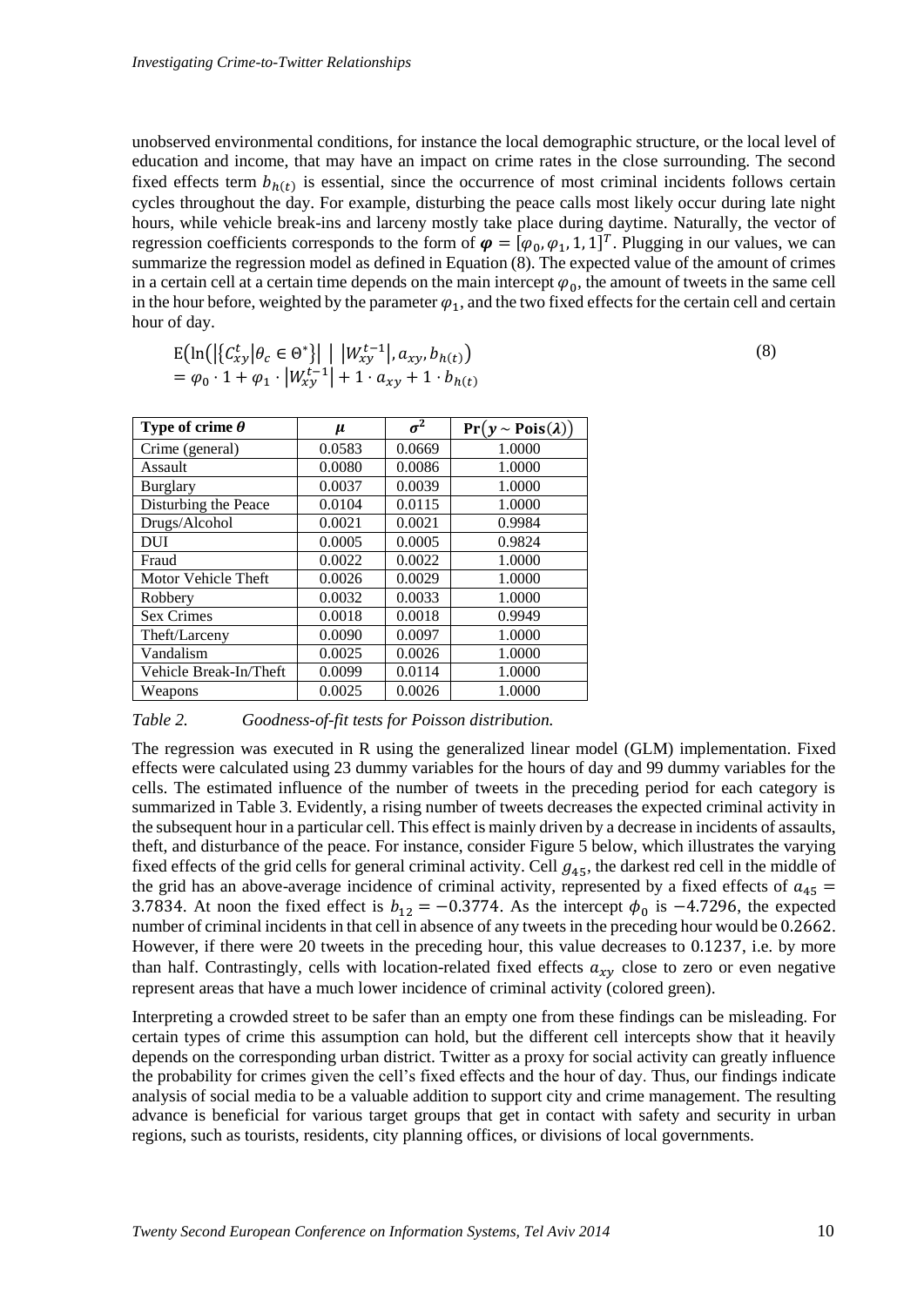unobserved environmental conditions, for instance the local demographic structure, or the local level of education and income, that may have an impact on crime rates in the close surrounding. The second fixed effects term  $b_{h(t)}$  is essential, since the occurrence of most criminal incidents follows certain cycles throughout the day. For example, disturbing the peace calls most likely occur during late night hours, while vehicle break-ins and larceny mostly take place during daytime. Naturally, the vector of regression coefficients corresponds to the form of  $\boldsymbol{\varphi} = [\varphi_0, \varphi_1, 1, 1]^T$ . Plugging in our values, we can summarize the regression model as defined in Equation (8). The expected value of the amount of crimes in a certain cell at a certain time depends on the main intercept  $\varphi_0$ , the amount of tweets in the same cell in the hour before, weighted by the parameter  $\varphi_1$ , and the two fixed effects for the certain cell and certain hour of day.

$$
E\left(\ln\left(\left|\left\{C_{xy}^t \middle| \theta_c \in \Theta^*\right\}\right| \middle| \left|W_{xy}^{t-1} \middle|, a_{xy}, b_{h(t)}\right.\right)\right)
$$
  
=  $\varphi_0 \cdot 1 + \varphi_1 \cdot \left|W_{xy}^{t-1} \middle| + 1 \cdot a_{xy} + 1 \cdot b_{h(t)}\right|$ 

(8)

| Type of crime $\theta$ | $\mu$  | $\sigma^2$ | $Pr(y \sim Pois(\lambda))$ |
|------------------------|--------|------------|----------------------------|
| Crime (general)        | 0.0583 | 0.0669     | 1.0000                     |
| Assault                | 0.0080 | 0.0086     | 1.0000                     |
| <b>Burglary</b>        | 0.0037 | 0.0039     | 1.0000                     |
| Disturbing the Peace   | 0.0104 | 0.0115     | 1.0000                     |
| Drugs/Alcohol          | 0.0021 | 0.0021     | 0.9984                     |
| DUI                    | 0.0005 | 0.0005     | 0.9824                     |
| Fraud                  | 0.0022 | 0.0022     | 1.0000                     |
| Motor Vehicle Theft    | 0.0026 | 0.0029     | 1.0000                     |
| Robbery                | 0.0032 | 0.0033     | 1.0000                     |
| <b>Sex Crimes</b>      | 0.0018 | 0.0018     | 0.9949                     |
| Theft/Larceny          | 0.0090 | 0.0097     | 1.0000                     |
| Vandalism              | 0.0025 | 0.0026     | 1.0000                     |
| Vehicle Break-In/Theft | 0.0099 | 0.0114     | 1.0000                     |
| Weapons                | 0.0025 | 0.0026     | 1.0000                     |

<span id="page-11-0"></span>*Table 2. Goodness-of-fit tests for Poisson distribution.*

The regression was executed in R using the generalized linear model (GLM) implementation. Fixed effects were calculated using 23 dummy variables for the hours of day and 99 dummy variables for the cells. The estimated influence of the number of tweets in the preceding period for each category is summarized i[n Table 3.](#page-12-0) Evidently, a rising number of tweets decreases the expected criminal activity in the subsequent hour in a particular cell. This effect is mainly driven by a decrease in incidents of assaults, theft, and disturbance of the peace. For instance, consider [Figure 5](#page-12-1) below, which illustrates the varying fixed effects of the grid cells for general criminal activity. Cell  $g_{45}$ , the darkest red cell in the middle of the grid has an above-average incidence of criminal activity, represented by a fixed effects of  $a_{45}$  = 3.7834. At noon the fixed effect is  $b_{12} = -0.3774$ . As the intercept  $\phi_0$  is -4.7296, the expected number of criminal incidents in that cell in absence of any tweets in the preceding hour would be 0.2662. However, if there were 20 tweets in the preceding hour, this value decreases to 0.1237, i.e. by more than half. Contrastingly, cells with location-related fixed effects  $a_{\tau\nu}$  close to zero or even negative represent areas that have a much lower incidence of criminal activity (colored green).

Interpreting a crowded street to be safer than an empty one from these findings can be misleading. For certain types of crime this assumption can hold, but the different cell intercepts show that it heavily depends on the corresponding urban district. Twitter as a proxy for social activity can greatly influence the probability for crimes given the cell's fixed effects and the hour of day. Thus, our findings indicate analysis of social media to be a valuable addition to support city and crime management. The resulting advance is beneficial for various target groups that get in contact with safety and security in urban regions, such as tourists, residents, city planning offices, or divisions of local governments.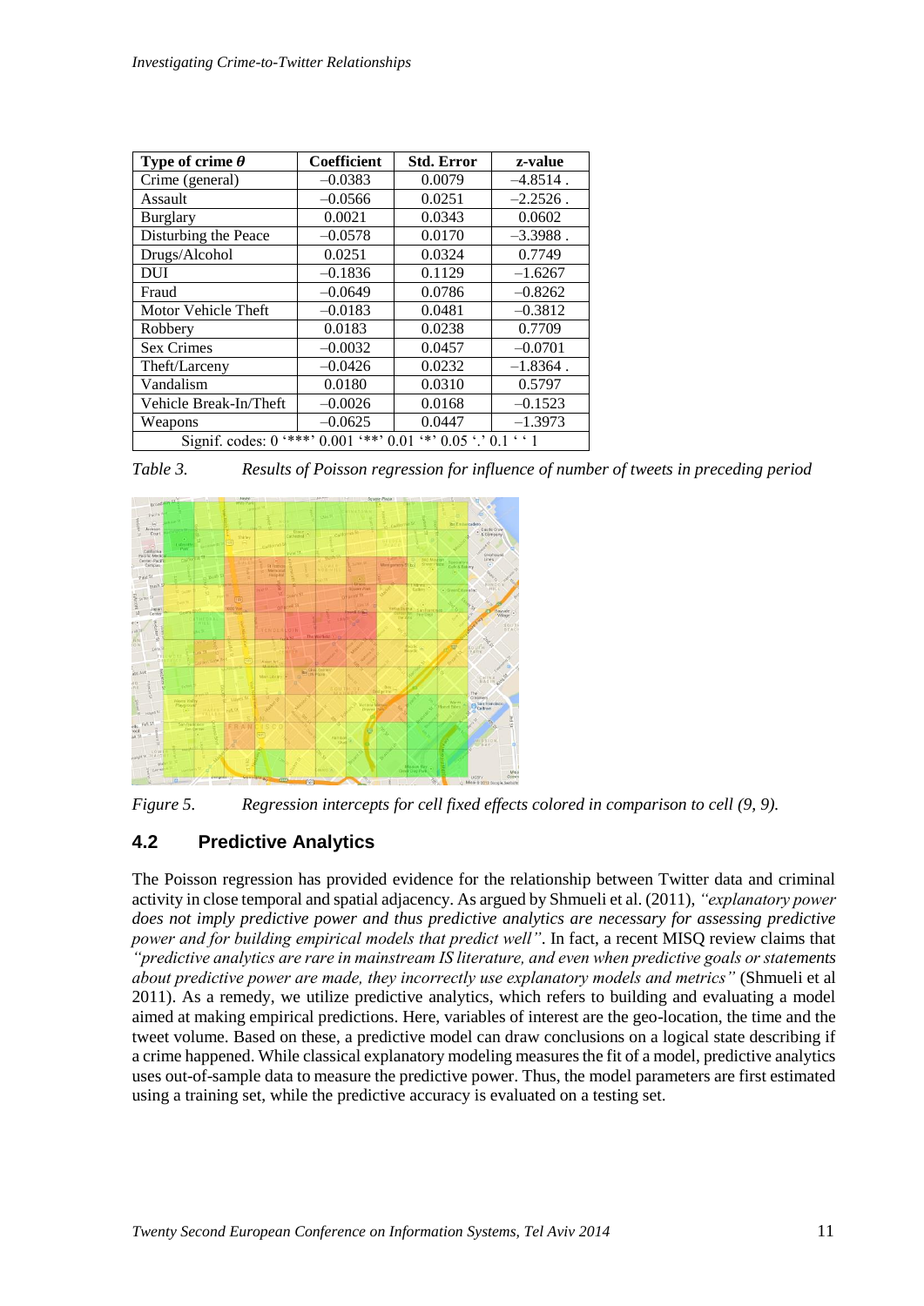| Type of crime $\theta$                                                          | <b>Coefficient</b> | <b>Std. Error</b> | z-value     |  |
|---------------------------------------------------------------------------------|--------------------|-------------------|-------------|--|
| Crime (general)                                                                 | $-0.0383$          | 0.0079            | $-4.8514$ . |  |
| Assault                                                                         | $-0.0566$          | 0.0251            | $-2.2526$ . |  |
| <b>Burglary</b>                                                                 | 0.0021             | 0.0343            | 0.0602      |  |
| Disturbing the Peace                                                            | $-0.0578$          | 0.0170            | $-3.3988$ . |  |
| Drugs/Alcohol                                                                   | 0.0251             | 0.0324            | 0.7749      |  |
| <b>DUI</b>                                                                      | $-0.1836$          | 0.1129            | $-1.6267$   |  |
| Fraud                                                                           | $-0.0649$          | 0.0786            | $-0.8262$   |  |
| Motor Vehicle Theft                                                             | $-0.0183$          | 0.0481            | $-0.3812$   |  |
| Robbery                                                                         | 0.0183             | 0.0238            | 0.7709      |  |
| <b>Sex Crimes</b>                                                               | $-0.0032$          | 0.0457            | $-0.0701$   |  |
| Theft/Larceny                                                                   | $-0.0426$          | 0.0232            | $-1.8364$ . |  |
| Vandalism                                                                       | 0.0180             | 0.0310            | 0.5797      |  |
| Vehicle Break-In/Theft                                                          | $-0.0026$          | 0.0168            | $-0.1523$   |  |
| Weapons                                                                         | $-0.0625$          | 0.0447            | $-1.3973$   |  |
| $***$ , 0.001<br>$***$ 0.01 $**$ 0.05 $\cdot$ 0.1 $\cdot$ 1<br>Signif. codes: 0 |                    |                   |             |  |

<span id="page-12-0"></span>*Table 3. Results of Poisson regression for influence of number of tweets in preceding period*



<span id="page-12-1"></span>*Figure 5. Regression intercepts for cell fixed effects colored in comparison to cell (9, 9).*

## **4.2 Predictive Analytics**

The Poisson regression has provided evidence for the relationship between Twitter data and criminal activity in close temporal and spatial adjacency. As argued by Shmueli et al. (2011), *"explanatory power does not imply predictive power and thus predictive analytics are necessary for assessing predictive power and for building empirical models that predict well"*. In fact, a recent MISQ review claims that *"predictive analytics are rare in mainstream IS literature, and even when predictive goals or statements about predictive power are made, they incorrectly use explanatory models and metrics"* (Shmueli et al 2011). As a remedy, we utilize predictive analytics, which refers to building and evaluating a model aimed at making empirical predictions. Here, variables of interest are the geo-location, the time and the tweet volume. Based on these, a predictive model can draw conclusions on a logical state describing if a crime happened. While classical explanatory modeling measures the fit of a model, predictive analytics uses out-of-sample data to measure the predictive power. Thus, the model parameters are first estimated using a training set, while the predictive accuracy is evaluated on a testing set.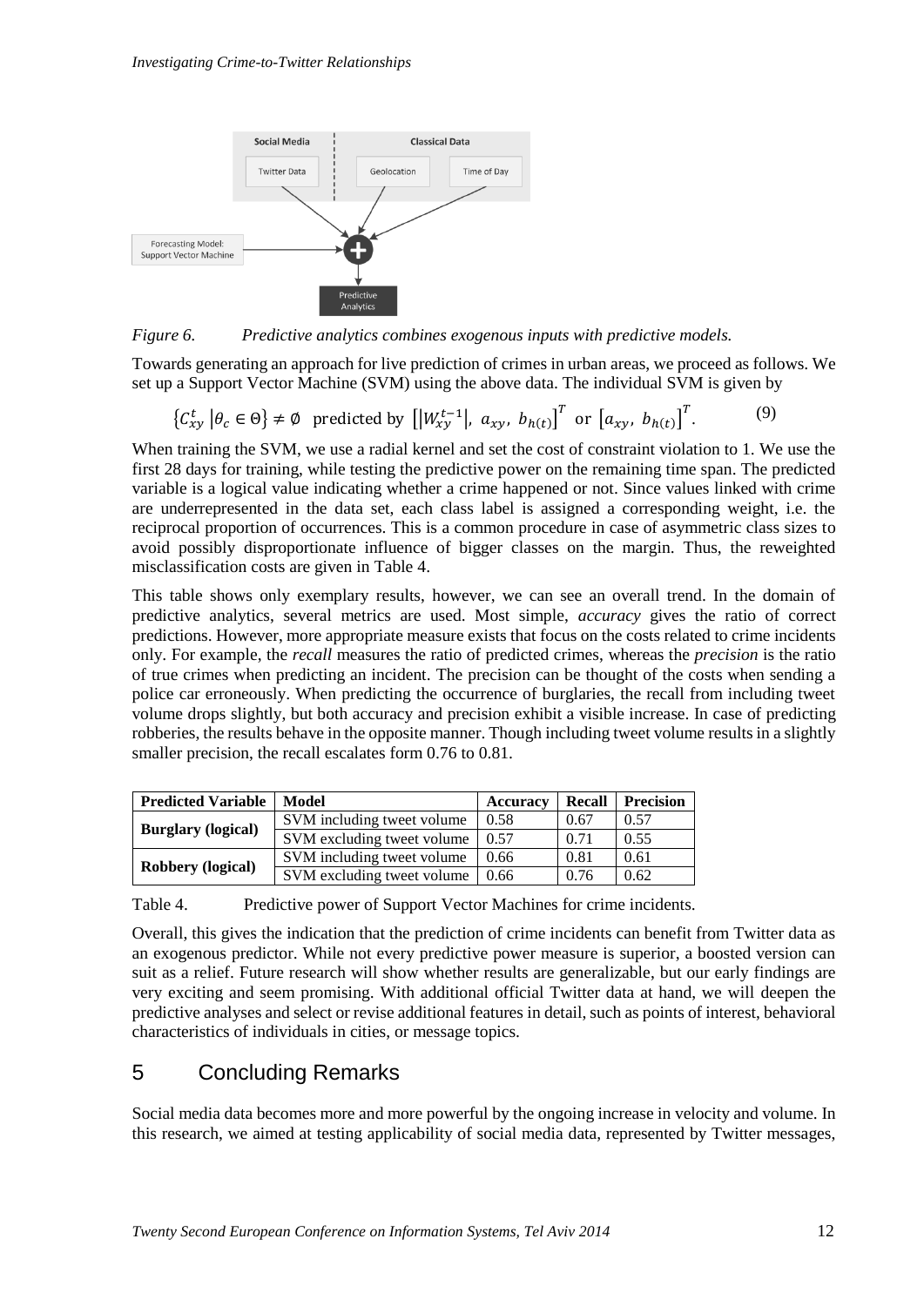

*Figure 6. Predictive analytics combines exogenous inputs with predictive models.*

Towards generating an approach for live prediction of crimes in urban areas, we proceed as follows. We set up a Support Vector Machine (SVM) using the above data. The individual SVM is given by

$$
\left\{ \mathcal{C}_{xy}^t \middle| \theta_c \in \Theta \right\} \neq \emptyset \text{ predicted by } \left[ \left| W_{xy}^{t-1} \right|, a_{xy}, b_{h(t)} \right]^T \text{ or } \left[ a_{xy}, b_{h(t)} \right]^T. \tag{9}
$$

When training the SVM, we use a radial kernel and set the cost of constraint violation to 1. We use the first 28 days for training, while testing the predictive power on the remaining time span. The predicted variable is a logical value indicating whether a crime happened or not. Since values linked with crime are underrepresented in the data set, each class label is assigned a corresponding weight, i.e. the reciprocal proportion of occurrences. This is a common procedure in case of asymmetric class sizes to avoid possibly disproportionate influence of bigger classes on the margin. Thus, the reweighted misclassification costs are given in [Table 4.](#page-13-0)

This table shows only exemplary results, however, we can see an overall trend. In the domain of predictive analytics, several metrics are used. Most simple, *accuracy* gives the ratio of correct predictions. However, more appropriate measure exists that focus on the costs related to crime incidents only. For example, the *recall* measures the ratio of predicted crimes, whereas the *precision* is the ratio of true crimes when predicting an incident. The precision can be thought of the costs when sending a police car erroneously. When predicting the occurrence of burglaries, the recall from including tweet volume drops slightly, but both accuracy and precision exhibit a visible increase. In case of predicting robberies, the results behave in the opposite manner. Though including tweet volume results in a slightly smaller precision, the recall escalates form 0.76 to 0.81.

| <b>Predicted Variable</b> | Model                      | Accuracy | Recall | <b>Precision</b> |
|---------------------------|----------------------------|----------|--------|------------------|
|                           | SVM including tweet volume | 0.58     | 0.67   | 0.57             |
| <b>Burglary</b> (logical) | SVM excluding tweet volume | 0.57     | 0.71   | 0.55             |
|                           | SVM including tweet volume | 0.66     | 0.81   | 0.61             |
| <b>Robbery (logical)</b>  | SVM excluding tweet volume | 0.66     | 0.76   | 0.62             |

<span id="page-13-0"></span>Table 4. Predictive power of Support Vector Machines for crime incidents.

Overall, this gives the indication that the prediction of crime incidents can benefit from Twitter data as an exogenous predictor. While not every predictive power measure is superior, a boosted version can suit as a relief. Future research will show whether results are generalizable, but our early findings are very exciting and seem promising. With additional official Twitter data at hand, we will deepen the predictive analyses and select or revise additional features in detail, such as points of interest, behavioral characteristics of individuals in cities, or message topics.

## 5 Concluding Remarks

Social media data becomes more and more powerful by the ongoing increase in velocity and volume. In this research, we aimed at testing applicability of social media data, represented by Twitter messages,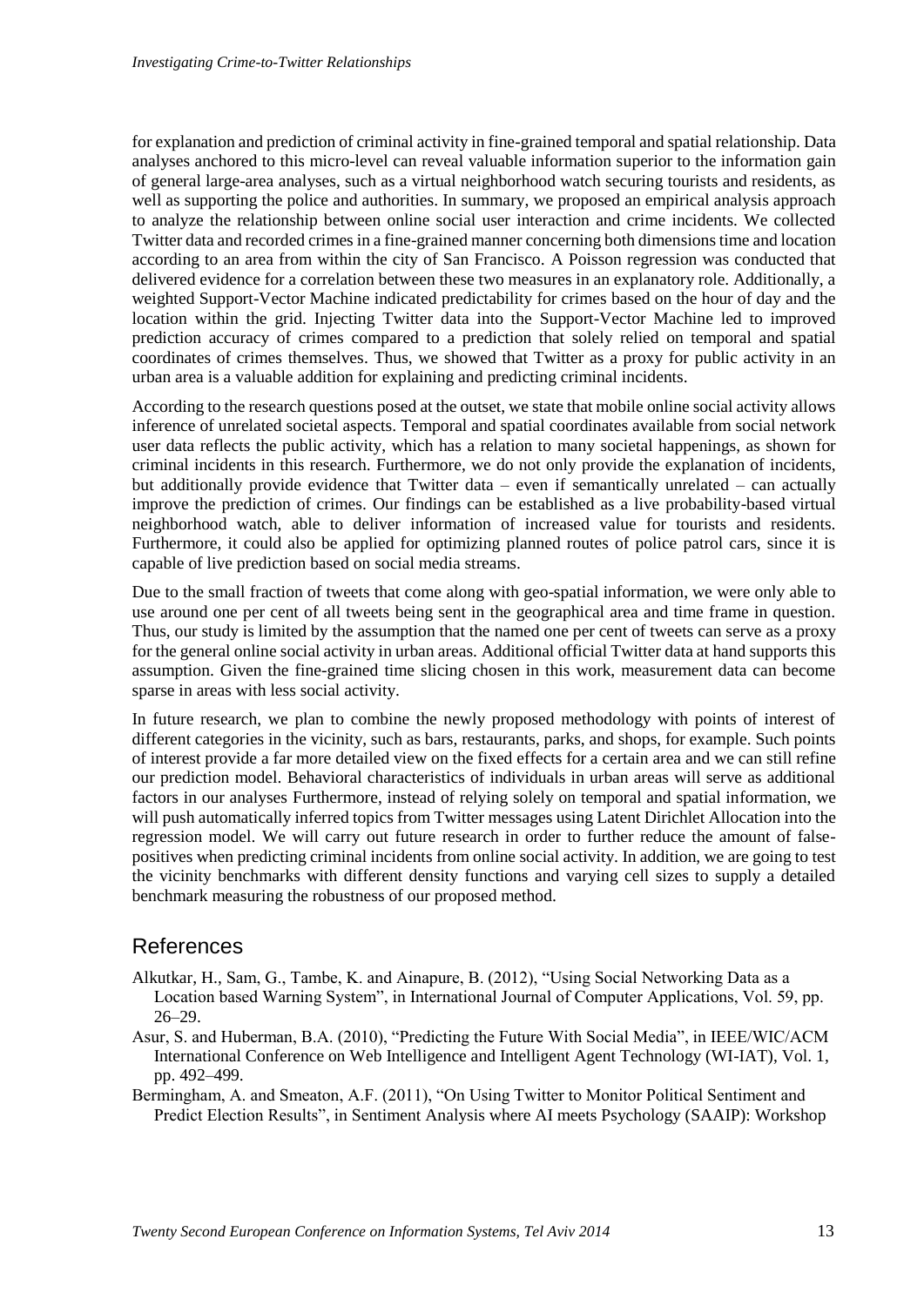for explanation and prediction of criminal activity in fine-grained temporal and spatial relationship. Data analyses anchored to this micro-level can reveal valuable information superior to the information gain of general large-area analyses, such as a virtual neighborhood watch securing tourists and residents, as well as supporting the police and authorities. In summary, we proposed an empirical analysis approach to analyze the relationship between online social user interaction and crime incidents. We collected Twitter data and recorded crimes in a fine-grained manner concerning both dimensions time and location according to an area from within the city of San Francisco. A Poisson regression was conducted that delivered evidence for a correlation between these two measures in an explanatory role. Additionally, a weighted Support-Vector Machine indicated predictability for crimes based on the hour of day and the location within the grid. Injecting Twitter data into the Support-Vector Machine led to improved prediction accuracy of crimes compared to a prediction that solely relied on temporal and spatial coordinates of crimes themselves. Thus, we showed that Twitter as a proxy for public activity in an urban area is a valuable addition for explaining and predicting criminal incidents.

According to the research questions posed at the outset, we state that mobile online social activity allows inference of unrelated societal aspects. Temporal and spatial coordinates available from social network user data reflects the public activity, which has a relation to many societal happenings, as shown for criminal incidents in this research. Furthermore, we do not only provide the explanation of incidents, but additionally provide evidence that Twitter data – even if semantically unrelated – can actually improve the prediction of crimes. Our findings can be established as a live probability-based virtual neighborhood watch, able to deliver information of increased value for tourists and residents. Furthermore, it could also be applied for optimizing planned routes of police patrol cars, since it is capable of live prediction based on social media streams.

Due to the small fraction of tweets that come along with geo-spatial information, we were only able to use around one per cent of all tweets being sent in the geographical area and time frame in question. Thus, our study is limited by the assumption that the named one per cent of tweets can serve as a proxy for the general online social activity in urban areas. Additional official Twitter data at hand supports this assumption. Given the fine-grained time slicing chosen in this work, measurement data can become sparse in areas with less social activity.

In future research, we plan to combine the newly proposed methodology with points of interest of different categories in the vicinity, such as bars, restaurants, parks, and shops, for example. Such points of interest provide a far more detailed view on the fixed effects for a certain area and we can still refine our prediction model. Behavioral characteristics of individuals in urban areas will serve as additional factors in our analyses Furthermore, instead of relying solely on temporal and spatial information, we will push automatically inferred topics from Twitter messages using Latent Dirichlet Allocation into the regression model. We will carry out future research in order to further reduce the amount of falsepositives when predicting criminal incidents from online social activity. In addition, we are going to test the vicinity benchmarks with different density functions and varying cell sizes to supply a detailed benchmark measuring the robustness of our proposed method.

## References

- Alkutkar, H., Sam, G., Tambe, K. and Ainapure, B. (2012), "Using Social Networking Data as a Location based Warning System", in International Journal of Computer Applications, Vol. 59, pp. 26–29.
- Asur, S. and Huberman, B.A. (2010), "Predicting the Future With Social Media", in IEEE/WIC/ACM International Conference on Web Intelligence and Intelligent Agent Technology (WI-IAT), Vol. 1, pp. 492–499.

Bermingham, A. and Smeaton, A.F. (2011), "On Using Twitter to Monitor Political Sentiment and Predict Election Results", in Sentiment Analysis where AI meets Psychology (SAAIP): Workshop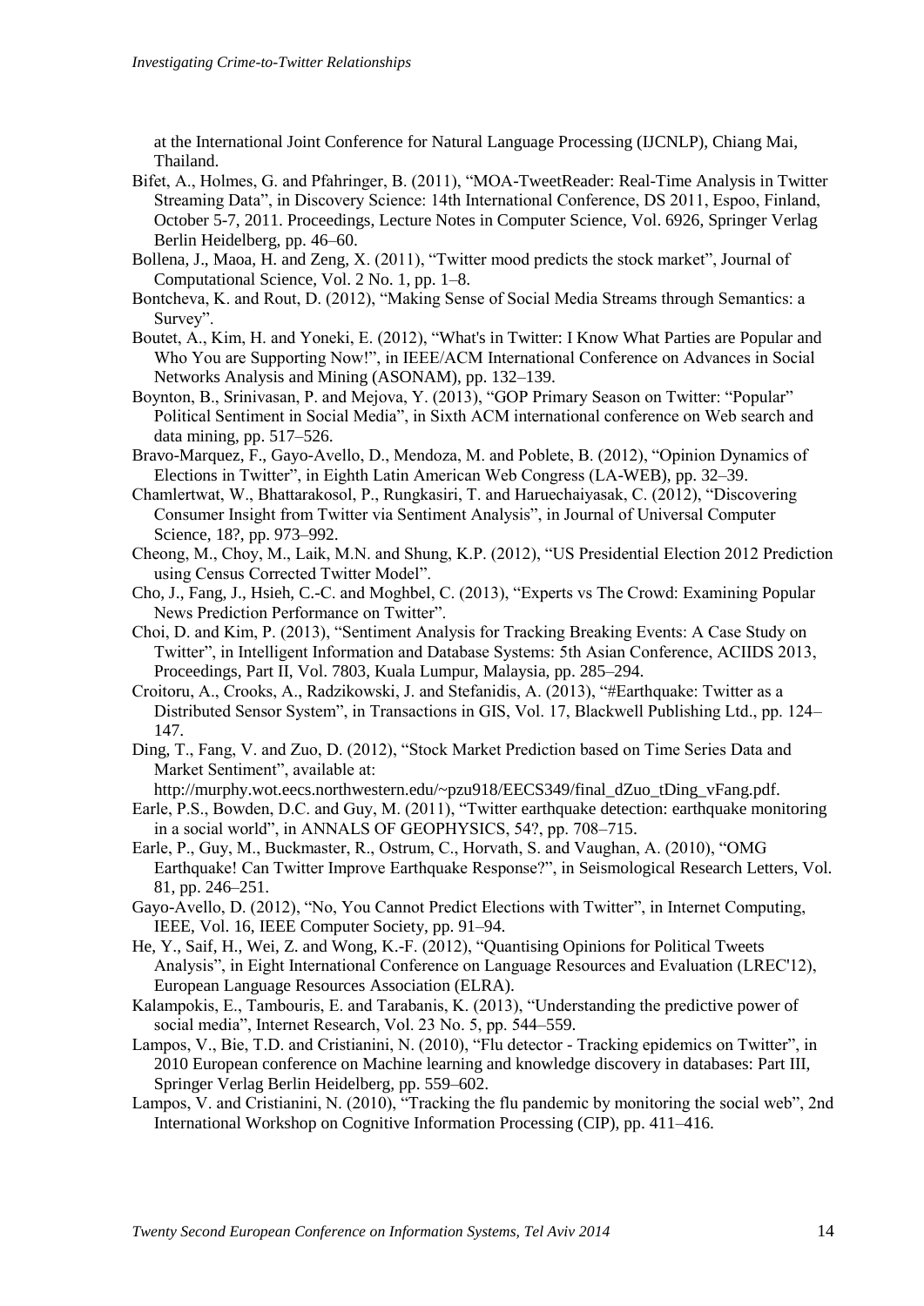at the International Joint Conference for Natural Language Processing (IJCNLP), Chiang Mai, Thailand.

- Bifet, A., Holmes, G. and Pfahringer, B. (2011), "MOA-TweetReader: Real-Time Analysis in Twitter Streaming Data", in Discovery Science: 14th International Conference, DS 2011, Espoo, Finland, October 5-7, 2011. Proceedings, Lecture Notes in Computer Science, Vol. 6926, Springer Verlag Berlin Heidelberg, pp. 46–60.
- Bollena, J., Maoa, H. and Zeng, X. (2011), "Twitter mood predicts the stock market", Journal of Computational Science, Vol. 2 No. 1, pp. 1–8.
- Bontcheva, K. and Rout, D. (2012), "Making Sense of Social Media Streams through Semantics: a Survey".
- Boutet, A., Kim, H. and Yoneki, E. (2012), "What's in Twitter: I Know What Parties are Popular and Who You are Supporting Now!", in IEEE/ACM International Conference on Advances in Social Networks Analysis and Mining (ASONAM), pp. 132–139.
- Boynton, B., Srinivasan, P. and Mejova, Y. (2013), "GOP Primary Season on Twitter: "Popular" Political Sentiment in Social Media", in Sixth ACM international conference on Web search and data mining, pp. 517–526.
- Bravo-Marquez, F., Gayo-Avello, D., Mendoza, M. and Poblete, B. (2012), "Opinion Dynamics of Elections in Twitter", in Eighth Latin American Web Congress (LA-WEB), pp. 32–39.
- Chamlertwat, W., Bhattarakosol, P., Rungkasiri, T. and Haruechaiyasak, C. (2012), "Discovering Consumer Insight from Twitter via Sentiment Analysis", in Journal of Universal Computer Science, 18?, pp. 973–992.
- Cheong, M., Choy, M., Laik, M.N. and Shung, K.P. (2012), "US Presidential Election 2012 Prediction using Census Corrected Twitter Model".
- Cho, J., Fang, J., Hsieh, C.-C. and Moghbel, C. (2013), "Experts vs The Crowd: Examining Popular News Prediction Performance on Twitter".
- Choi, D. and Kim, P. (2013), "Sentiment Analysis for Tracking Breaking Events: A Case Study on Twitter", in Intelligent Information and Database Systems: 5th Asian Conference, ACIIDS 2013, Proceedings, Part II, Vol. 7803, Kuala Lumpur, Malaysia, pp. 285–294.
- Croitoru, A., Crooks, A., Radzikowski, J. and Stefanidis, A. (2013), "#Earthquake: Twitter as a Distributed Sensor System", in Transactions in GIS, Vol. 17, Blackwell Publishing Ltd., pp. 124– 147.
- Ding, T., Fang, V. and Zuo, D. (2012), "Stock Market Prediction based on Time Series Data and Market Sentiment", available at:
- http://murphy.wot.eecs.northwestern.edu/~pzu918/EECS349/final\_dZuo\_tDing\_vFang.pdf.
- Earle, P.S., Bowden, D.C. and Guy, M. (2011), "Twitter earthquake detection: earthquake monitoring in a social world", in ANNALS OF GEOPHYSICS, 54?, pp. 708–715.
- Earle, P., Guy, M., Buckmaster, R., Ostrum, C., Horvath, S. and Vaughan, A. (2010), "OMG Earthquake! Can Twitter Improve Earthquake Response?", in Seismological Research Letters, Vol. 81, pp. 246–251.
- Gayo-Avello, D. (2012), "No, You Cannot Predict Elections with Twitter", in Internet Computing, IEEE, Vol. 16, IEEE Computer Society, pp. 91–94.
- He, Y., Saif, H., Wei, Z. and Wong, K.-F. (2012), "Quantising Opinions for Political Tweets Analysis", in Eight International Conference on Language Resources and Evaluation (LREC'12), European Language Resources Association (ELRA).
- Kalampokis, E., Tambouris, E. and Tarabanis, K. (2013), "Understanding the predictive power of social media", Internet Research, Vol. 23 No. 5, pp. 544–559.
- Lampos, V., Bie, T.D. and Cristianini, N. (2010), "Flu detector Tracking epidemics on Twitter", in 2010 European conference on Machine learning and knowledge discovery in databases: Part III, Springer Verlag Berlin Heidelberg, pp. 559–602.
- Lampos, V. and Cristianini, N. (2010), "Tracking the flu pandemic by monitoring the social web", 2nd International Workshop on Cognitive Information Processing (CIP), pp. 411–416.